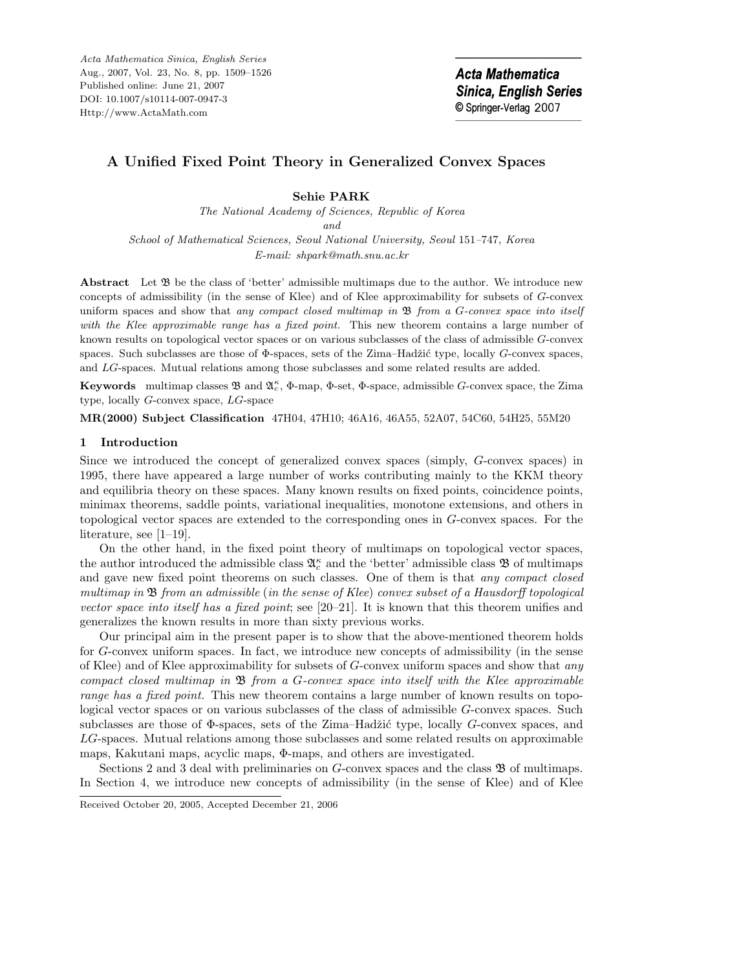Acta Mathematica Sinica, English Series Aug., 2007, Vol. 23, No. 8, pp. 1509–1526 Published online: June 21, 2007 DOI: 10.1007/s10114-007-0947-3 Http://www.ActaMath.com

# **A Unified Fixed Point Theory in Generalized Convex Spaces**

## **Sehie PARK**

*The National Academy of Sciences, Republic of Korea and School of Mathematical Sciences, Seoul National University, Seoul* 151*–*747*, Korea E-mail: shpark@math.snu.ac.kr*

Abstract Let  $\mathfrak B$  be the class of 'better' admissible multimaps due to the author. We introduce new concepts of admissibility (in the sense of Klee) and of Klee approximability for subsets of *G*-convex uniform spaces and show that *any compact closed multimap in* B *from a G-convex space into itself with the Klee approximable range has a fixed point.* This new theorem contains a large number of known results on topological vector spaces or on various subclasses of the class of admissible *G*-convex spaces. Such subclasses are those of Φ-spaces, sets of the Zima–Hadžić type, locally *G*-convex spaces, and *LG*-spaces. Mutual relations among those subclasses and some related results are added.

**Keywords** multimap classes **B** and  $\mathfrak{A}_c^{\kappa}$ , Φ-map, Φ-set, Φ-space, admissible *G*-convex space, the Zima type, locally *G*-convex space, *LG*-space

**MR(2000) Subject Classification** 47H04, 47H10; 46A16, 46A55, 52A07, 54C60, 54H25, 55M20

### **1 Introduction**

Since we introduced the concept of generalized convex spaces (simply, G-convex spaces) in 1995, there have appeared a large number of works contributing mainly to the KKM theory and equilibria theory on these spaces. Many known results on fixed points, coincidence points, minimax theorems, saddle points, variational inequalities, monotone extensions, and others in topological vector spaces are extended to the corresponding ones in G-convex spaces. For the literature, see [1–19].

On the other hand, in the fixed point theory of multimaps on topological vector spaces, the author introduced the admissible class  $\mathfrak{A}_{c}^{\kappa}$  and the 'better' admissible class  $\mathfrak{B}$  of multimaps and gave new fixed point theorems on such classes. One of them is that *any compact closed multimap in* B *from an admissible* (*in the sense of Klee*) *convex subset of a Hausdorff topological vector space into itself has a fixed point*; see [20–21]. It is known that this theorem unifies and generalizes the known results in more than sixty previous works.

Our principal aim in the present paper is to show that the above-mentioned theorem holds for G-convex uniform spaces. In fact, we introduce new concepts of admissibility (in the sense of Klee) and of Klee approximability for subsets of G-convex uniform spaces and show that *any compact closed multimap in* B *from a* G*-convex space into itself with the Klee approximable range has a fixed point.* This new theorem contains a large number of known results on topological vector spaces or on various subclasses of the class of admissible G-convex spaces. Such subclasses are those of  $\Phi$ -spaces, sets of the Zima–Hadžić type, locally G-convex spaces, and LG-spaces. Mutual relations among those subclasses and some related results on approximable maps, Kakutani maps, acyclic maps, Φ-maps, and others are investigated.

Sections 2 and 3 deal with preliminaries on G-convex spaces and the class  $\mathfrak{B}$  of multimaps. In Section 4, we introduce new concepts of admissibility (in the sense of Klee) and of Klee

Received October 20, 2005, Accepted December 21, 2006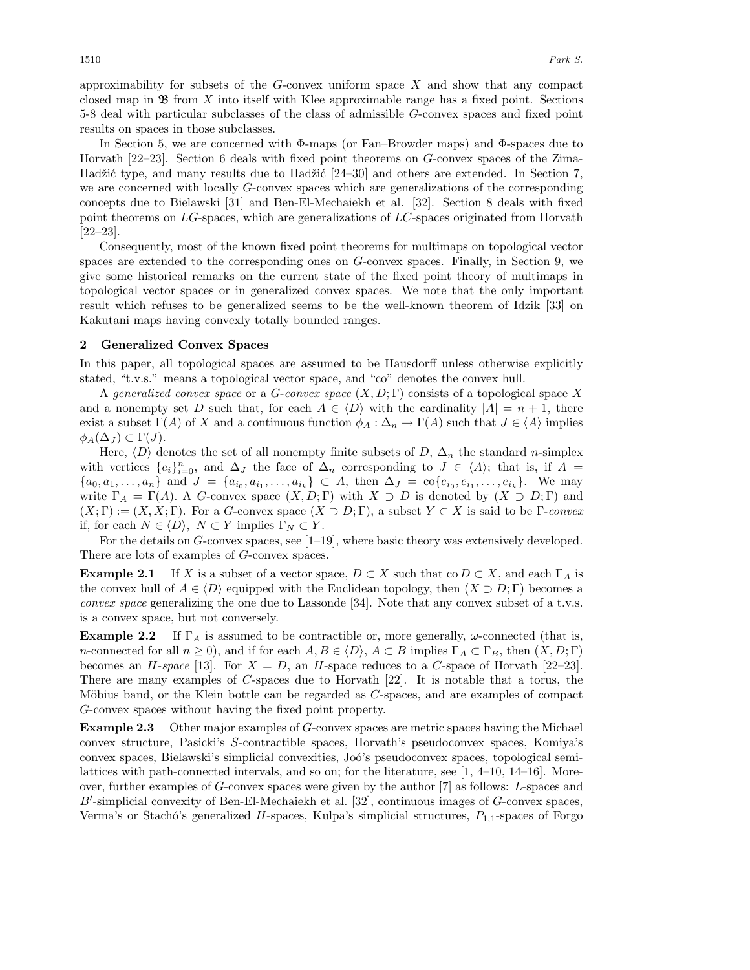approximability for subsets of the  $G$ -convex uniform space  $X$  and show that any compact closed map in  $\mathfrak{B}$  from X into itself with Klee approximable range has a fixed point. Sections 5-8 deal with particular subclasses of the class of admissible G-convex spaces and fixed point results on spaces in those subclasses.

In Section 5, we are concerned with Φ-maps (or Fan–Browder maps) and Φ-spaces due to Horvath [22–23]. Section 6 deals with fixed point theorems on G-convex spaces of the Zima-Hadžić type, and many results due to Hadžić [24–30] and others are extended. In Section 7, we are concerned with locally G-convex spaces which are generalizations of the corresponding concepts due to Bielawski [31] and Ben-El-Mechaiekh et al. [32]. Section 8 deals with fixed point theorems on LG-spaces, which are generalizations of LC-spaces originated from Horvath [22–23].

Consequently, most of the known fixed point theorems for multimaps on topological vector spaces are extended to the corresponding ones on G-convex spaces. Finally, in Section 9, we give some historical remarks on the current state of the fixed point theory of multimaps in topological vector spaces or in generalized convex spaces. We note that the only important result which refuses to be generalized seems to be the well-known theorem of Idzik [33] on Kakutani maps having convexly totally bounded ranges.

#### **2 Generalized Convex Spaces**

In this paper, all topological spaces are assumed to be Hausdorff unless otherwise explicitly stated, "t.v.s." means a topological vector space, and "co" denotes the convex hull.

A *generalized convex space* or a G-*convex space* (X, D; Γ) consists of a topological space X and a nonempty set D such that, for each  $A \in \langle D \rangle$  with the cardinality  $|A| = n + 1$ , there exist a subset  $\Gamma(A)$  of X and a continuous function  $\phi_A : \Delta_n \to \Gamma(A)$  such that  $J \in \langle A \rangle$  implies  $\phi_A(\Delta_J) \subset \Gamma(J).$ 

Here,  $\langle D \rangle$  denotes the set of all nonempty finite subsets of D,  $\Delta_n$  the standard n-simplex with vertices  $\{e_i\}_{i=0}^n$ , and  $\Delta_J$  the face of  $\Delta_n$  corresponding to  $J \in \langle A \rangle$ ; that is, if  $A =$  ${a_0, a_1, \ldots, a_n}$  and  $J = {a_{i_0}, a_{i_1}, \ldots, a_{i_k}} \subset A$ , then  $\Delta_J = {\rm co}\{e_{i_0}, e_{i_1}, \ldots, e_{i_k}\}.$  We may write  $\Gamma_A = \Gamma(A)$ . A G-convex space  $(X, D; \Gamma)$  with  $X \supset D$  is denoted by  $(X \supset D; \Gamma)$  and  $(X; \Gamma) := (X, X; \Gamma)$ . For a G-convex space  $(X \supset D; \Gamma)$ , a subset  $Y \subset X$  is said to be  $\Gamma$ -convex if, for each  $N \in \langle D \rangle$ ,  $N \subset Y$  implies  $\Gamma_N \subset Y$ .

For the details on G-convex spaces, see [1–19], where basic theory was extensively developed. There are lots of examples of G-convex spaces.

**Example 2.1** If X is a subset of a vector space,  $D \subset X$  such that co  $D \subset X$ , and each  $\Gamma_A$  is the convex hull of  $A \in \langle D \rangle$  equipped with the Euclidean topology, then  $(X \supset D; \Gamma)$  becomes a *convex space* generalizing the one due to Lassonde [34]. Note that any convex subset of a t.v.s. is a convex space, but not conversely.

**Example 2.2** If  $\Gamma_A$  is assumed to be contractible or, more generally,  $\omega$ -connected (that is, n-connected for all  $n \geq 0$ , and if for each  $A, B \in \langle D \rangle$ ,  $A \subset B$  implies  $\Gamma_A \subset \Gamma_B$ , then  $(X, D; \Gamma)$ becomes an *H*-*space* [13]. For  $X = D$ , an *H*-space reduces to a *C*-space of Horvath [22–23]. There are many examples of C-spaces due to Horvath [22]. It is notable that a torus, the Möbius band, or the Klein bottle can be regarded as  $C$ -spaces, and are examples of compact G-convex spaces without having the fixed point property.

**Example 2.3** Other major examples of G-convex spaces are metric spaces having the Michael convex structure, Pasicki's S-contractible spaces, Horvath's pseudoconvex spaces, Komiya's convex spaces, Bielawski's simplicial convexities, Jo´o's pseudoconvex spaces, topological semilattices with path-connected intervals, and so on; for the literature, see [1, 4–10, 14–16]. Moreover, further examples of G-convex spaces were given by the author [7] as follows: L-spaces and B'-simplicial convexity of Ben-El-Mechaiekh et al. [32], continuous images of G-convex spaces, Verma's or Stachó's generalized  $H$ -spaces, Kulpa's simplicial structures,  $P_{1,1}$ -spaces of Forgo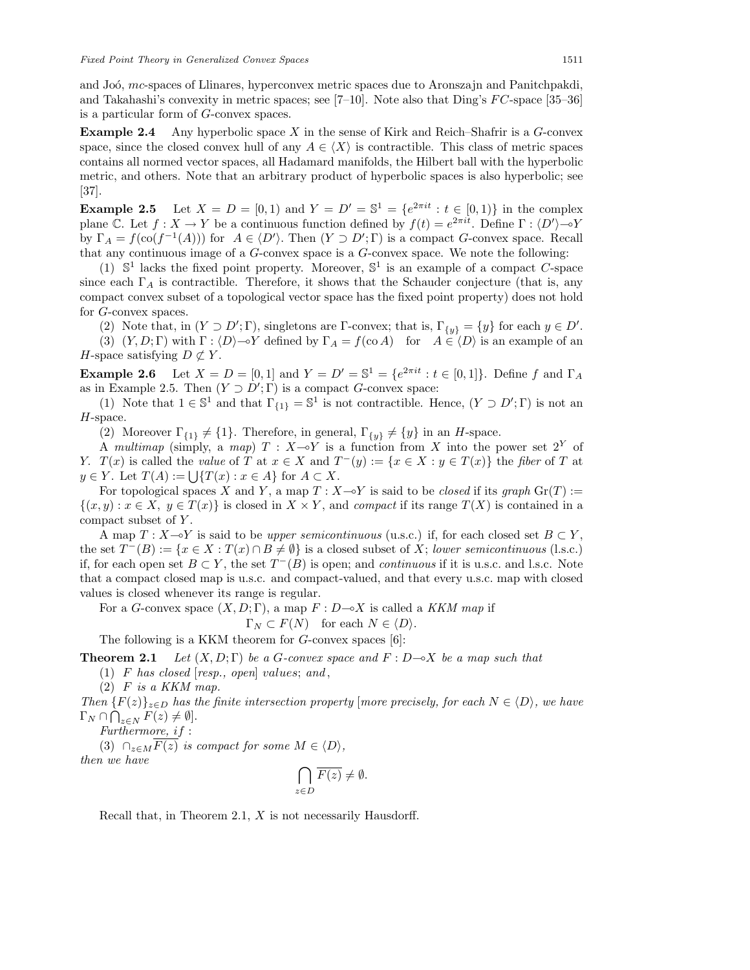and Joó, mc-spaces of Llinares, hyperconvex metric spaces due to Aronszajn and Panitchpakdi, and Takahashi's convexity in metric spaces; see [7-10]. Note also that Ding's  $FC$ -space [35-36] is a particular form of G-convex spaces.

**Example 2.4** Any hyperbolic space X in the sense of Kirk and Reich–Shafrir is a G-convex space, since the closed convex hull of any  $A \in \langle X \rangle$  is contractible. This class of metric spaces contains all normed vector spaces, all Hadamard manifolds, the Hilbert ball with the hyperbolic metric, and others. Note that an arbitrary product of hyperbolic spaces is also hyperbolic; see [37].

**Example 2.5** Let  $X = D = [0, 1)$  and  $Y = D' = \mathbb{S}^1 = \{e^{2\pi i t} : t \in [0, 1)\}\$ in the complex plane C. Let  $f: X \to Y$  be a continuous function defined by  $f(t) = e^{2\pi i t}$ . Define  $\Gamma: \langle D' \rangle \to Y$ by  $\Gamma_A = f(\text{co}(f^{-1}(A)))$  for  $A \in \langle D' \rangle$ . Then  $(Y \supset D'; \Gamma)$  is a compact G-convex space. Recall that any continuous image of a G-convex space is a G-convex space. We note the following:

(1)  $\mathbb{S}^1$  lacks the fixed point property. Moreover,  $\mathbb{S}^1$  is an example of a compact C-space since each  $\Gamma_A$  is contractible. Therefore, it shows that the Schauder conjecture (that is, any compact convex subset of a topological vector space has the fixed point property) does not hold for G-convex spaces.

(2) Note that, in  $(Y \supset D'; \Gamma)$ , singletons are  $\Gamma$ -convex; that is,  $\Gamma_{\{y\}} = \{y\}$  for each  $y \in D'$ .

(3)  $(Y, D; \Gamma)$  with  $\Gamma : \langle D \rangle \longrightarrow Y$  defined by  $\Gamma_A = f(\text{co } A)$  for  $A \in \langle D \rangle$  is an example of an *H*-space satisfying  $D \not\subset Y$ .

**Example 2.6** Let  $X = D = [0, 1]$  and  $Y = D' = \mathbb{S}^1 = \{e^{2\pi i t} : t \in [0, 1]\}\.$  Define f and  $\Gamma_A$ as in Example 2.5. Then  $(Y \supset D'; \Gamma)$  is a compact G-convex space:

(1) Note that  $1 \in \mathbb{S}^1$  and that  $\Gamma_{\{1\}} = \mathbb{S}^1$  is not contractible. Hence,  $(Y \supset D'; \Gamma)$  is not an H-space.

(2) Moreover  $\Gamma_{\{1\}} \neq \{1\}$ . Therefore, in general,  $\Gamma_{\{y\}} \neq \{y\}$  in an H-space.

A *multimap* (simply, a *map*)  $T : X \rightarrow Y$  is a function from X into the power set  $2^Y$  of Y.  $T(x)$  is called the *value* of T at  $x \in X$  and  $T^-(y) := \{x \in X : y \in T(x)\}$  the *fiber* of T at  $y \in Y$ . Let  $T(A) := \bigcup \{T(x) : x \in A\}$  for  $A \subset X$ .

For topological spaces X and Y, a map  $T : X \rightarrow Y$  is said to be *closed* if its *graph*  $\text{Gr}(T) :=$  $\{(x, y) : x \in X, y \in T(x)\}\$ is closed in  $X \times Y$ , and *compact* if its range  $T(X)$  is contained in a compact subset of Y.

A map  $T: X \rightarrow Y$  is said to be *upper semicontinuous* (u.s.c.) if, for each closed set  $B \subset Y$ , the set  $T^{-}(B) := \{x \in X : T(x) \cap B \neq \emptyset\}$  is a closed subset of X; *lower semicontinuous* (l.s.c.) if, for each open set  $B \subset Y$ , the set  $T^{-}(B)$  is open; and *continuous* if it is u.s.c. and l.s.c. Note that a compact closed map is u.s.c. and compact-valued, and that every u.s.c. map with closed values is closed whenever its range is regular.

For a *G*-convex space  $(X, D; \Gamma)$ , a map  $F: D \rightarrow X$  is called a *KKM map* if

 $\Gamma_N \subset F(N)$  for each  $N \in \langle D \rangle$ .

The following is a KKM theorem for G-convex spaces [6]:

**Theorem 2.1** *Let*  $(X, D; \Gamma)$  *be a G-convex space and*  $F: D \rightarrow X$  *be a map such that* 

(1) F *has closed* [*resp., open*] values; *and* ,

(2) F *is a KKM map.*

*Then*  ${F(z)}_{z\in D}$  *has the finite intersection property* [*more precisely, for each*  $N \in \langle D \rangle$ *, we have*  $\Gamma_N \cap \bigcap_{z \in N} F(z) \neq \emptyset$ .

*Furthermore,* if :

(3)  $\cap_{z \in M} \overline{F(z)}$  *is compact for some*  $M \in \langle D \rangle$ , *then we have*

$$
\bigcap_{z \in D} \overline{F(z)} \neq \emptyset.
$$

Recall that, in Theorem 2.1,  $X$  is not necessarily Hausdorff.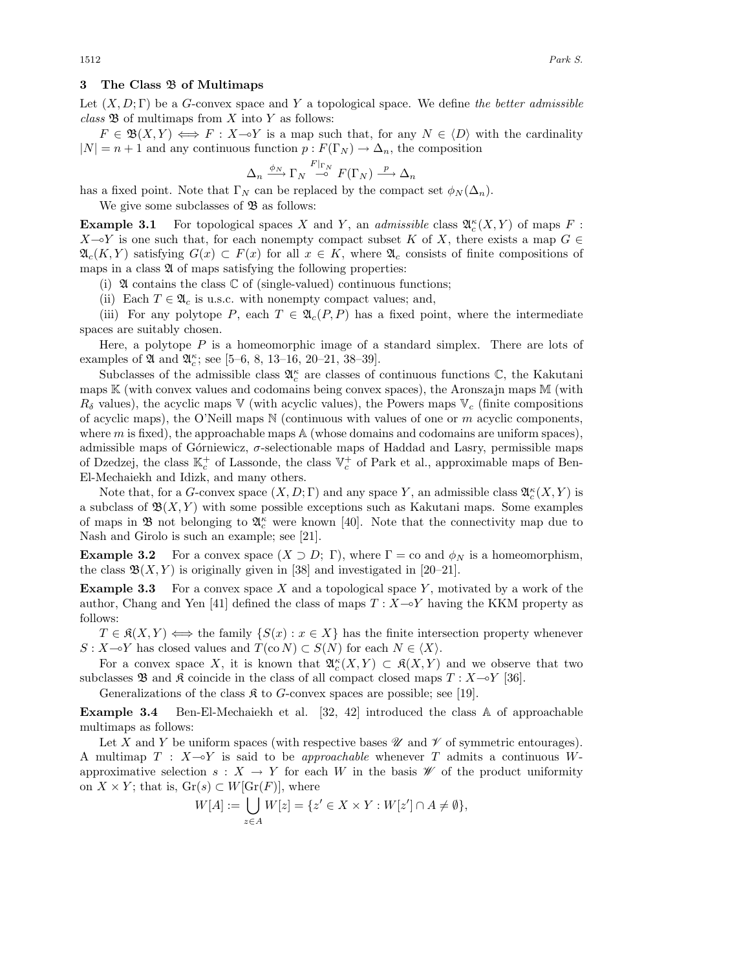#### **3 The Class** B **of Multimaps**

Let (X, D; Γ) be a G-convex space and Y a topological space. We define *the better admissible*  $class \mathfrak{B}$  of multimaps from  $X$  into  $Y$  as follows:

 $F \in \mathfrak{B}(X,Y) \iff F : X \to Y$  is a map such that, for any  $N \in \langle D \rangle$  with the cardinality  $|N| = n + 1$  and any continuous function  $p : F(\Gamma_N) \to \Delta_n$ , the composition

$$
\Delta_n \xrightarrow{\phi_N} \Gamma_N \xrightarrow{F|_{\Gamma_N}} F(\Gamma_N) \xrightarrow{p} \Delta_n
$$

has a fixed point. Note that  $\Gamma_N$  can be replaced by the compact set  $\phi_N(\Delta_n)$ .

We give some subclasses of  $\mathfrak{B}$  as follows:

**Example 3.1** For topological spaces X and Y, an *admissible* class  $\mathfrak{A}_{c}^{\kappa}(X, Y)$  of maps F:  $X \rightarrow Y$  is one such that, for each nonempty compact subset K of X, there exists a map  $G \in$  $\mathfrak{A}_{c}(K,Y)$  satisfying  $G(x) \subset F(x)$  for all  $x \in K$ , where  $\mathfrak{A}_{c}$  consists of finite compositions of maps in a class  $\mathfrak A$  of maps satisfying the following properties:

(i)  $\mathfrak A$  contains the class  $\mathbb C$  of (single-valued) continuous functions;

(ii) Each  $T \in \mathfrak{A}_c$  is u.s.c. with nonempty compact values; and,

(iii) For any polytope P, each  $T \in \mathfrak{A}_c(P, P)$  has a fixed point, where the intermediate spaces are suitably chosen.

Here, a polytope  $P$  is a homeomorphic image of a standard simplex. There are lots of examples of  $\mathfrak A$  and  $\mathfrak A_c^{\kappa}$ ; see [5–6, 8, 13–16, 20–21, 38–39].

Subclasses of the admissible class  $\mathfrak{A}_c^{\kappa}$  are classes of continuous functions  $\mathbb{C}$ , the Kakutani maps  $\mathbb K$  (with convex values and codomains being convex spaces), the Aronszajn maps  $\mathbb M$  (with  $R_{\delta}$  values), the acyclic maps V (with acyclic values), the Powers maps V<sub>c</sub> (finite compositions of acyclic maps), the O'Neill maps  $\mathbb N$  (continuous with values of one or m acyclic components, where  $m$  is fixed), the approachable maps  $A$  (whose domains and codomains are uniform spaces), admissible maps of Górniewicz,  $\sigma$ -selectionable maps of Haddad and Lasry, permissible maps of Dzedzej, the class  $\mathbb{K}_c^+$  of Lassonde, the class  $\mathbb{V}_c^+$  of Park et al., approximable maps of Ben-El-Mechaiekh and Idizk, and many others.

Note that, for a G-convex space  $(X, D; \Gamma)$  and any space Y, an admissible class  $\mathfrak{A}_{c}^{\kappa}(X, Y)$  is a subclass of  $\mathfrak{B}(X, Y)$  with some possible exceptions such as Kakutani maps. Some examples of maps in  $\mathfrak{B}$  not belonging to  $\mathfrak{A}_{c}^{\kappa}$  were known [40]. Note that the connectivity map due to Nash and Girolo is such an example; see [21].

**Example 3.2** For a convex space  $(X \supset D; \Gamma)$ , where  $\Gamma = \text{co}$  and  $\phi_N$  is a homeomorphism, the class  $\mathfrak{B}(X, Y)$  is originally given in [38] and investigated in [20–21].

**Example 3.3** For a convex space X and a topological space Y, motivated by a work of the author, Chang and Yen [41] defined the class of maps  $T : X \rightarrow Y$  having the KKM property as follows:

 $T \in \mathfrak{K}(X, Y) \iff$  the family  $\{S(x) : x \in X\}$  has the finite intersection property whenever  $S: X \rightarrow Y$  has closed values and  $T(\text{co }N) \subset S(N)$  for each  $N \in \langle X \rangle$ .

For a convex space X, it is known that  $\mathfrak{A}_{c}^{\kappa}(X,Y) \subset \mathfrak{K}(X,Y)$  and we observe that two subclasses  $\mathfrak{B}$  and  $\mathfrak{K}$  coincide in the class of all compact closed maps  $T : X \rightarrow Y$  [36].

Generalizations of the class  $\mathfrak K$  to G-convex spaces are possible; see [19].

**Example 3.4** Ben-El-Mechaiekh et al. [32, 42] introduced the class A of approachable multimaps as follows:

Let X and Y be uniform spaces (with respective bases  $\mathscr U$  and  $\mathscr V$  of symmetric entourages). A multimap  $T : X \rightarrow Y$  is said to be *approachable* whenever T admits a continuous Wapproximative selection  $s: X \to Y$  for each W in the basis  $\mathscr W$  of the product uniformity on  $X \times Y$ ; that is,  $\text{Gr}(s) \subset W[\text{Gr}(F)]$ , where

$$
W[A] := \bigcup_{z \in A} W[z] = \{ z' \in X \times Y : W[z'] \cap A \neq \emptyset \},
$$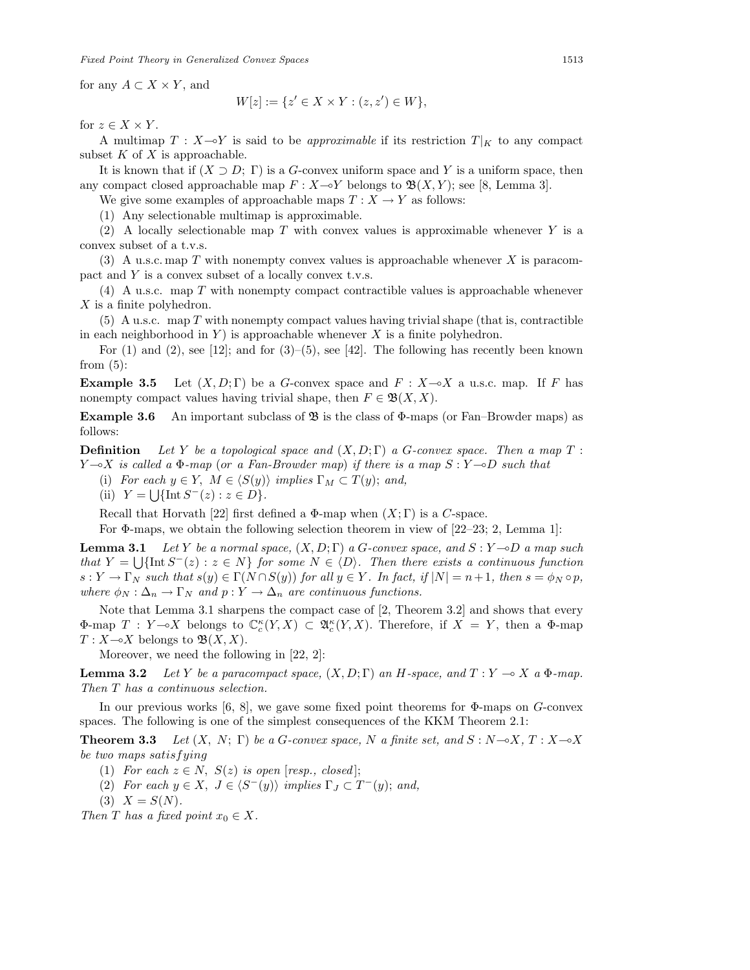for any  $A \subset X \times Y$ , and

$$
W[z] := \{ z' \in X \times Y : (z, z') \in W \},
$$

for  $z \in X \times Y$ .

A multimap  $T : X \rightarrow Y$  is said to be *approximable* if its restriction  $T|_K$  to any compact subset  $K$  of  $X$  is approachable.

It is known that if  $(X \supset D; \Gamma)$  is a G-convex uniform space and Y is a uniform space, then any compact closed approachable map  $F: X \rightarrow Y$  belongs to  $\mathfrak{B}(X,Y)$ ; see [8, Lemma 3].

We give some examples of approachable maps  $T : X \to Y$  as follows:

(1) Any selectionable multimap is approximable.

(2) A locally selectionable map  $T$  with convex values is approximable whenever  $Y$  is a convex subset of a t.v.s.

(3) A u.s.c. map T with nonempty convex values is approachable whenever X is paracompact and Y is a convex subset of a locally convex t.v.s.

(4) A u.s.c. map T with nonempty compact contractible values is approachable whenever X is a finite polyhedron.

 $(5)$  A u.s.c. map T with nonempty compact values having trivial shape (that is, contractible in each neighborhood in  $Y$ ) is approachable whenever  $X$  is a finite polyhedron.

For  $(1)$  and  $(2)$ , see [12]; and for  $(3)-(5)$ , see [42]. The following has recently been known from  $(5)$ :

**Example 3.5** Let  $(X, D; \Gamma)$  be a G-convex space and  $F : X \rightarrow X$  a u.s.c. map. If F has nonempty compact values having trivial shape, then  $F \in \mathfrak{B}(X,X)$ .

**Example 3.6** An important subclass of **3** is the class of Φ-maps (or Fan–Browder maps) as follows:

**Definition** *Let* Y *be a topological space and* (X, D; Γ) *a* G*-convex space. Then a map* T : Y -X *is called a* Φ*-map* (or *a Fan-Browder map*) *if there is a map* S : Y -D *such that*

(i) *For each*  $y \in Y$ ,  $M \in \langle S(y) \rangle$  *implies*  $\Gamma_M \subset T(y)$ ; and,

(ii) 
$$
Y = \bigcup \{ \text{Int } S^{-}(z) : z \in D \}.
$$

Recall that Horvath [22] first defined a  $\Phi$ -map when  $(X;\Gamma)$  is a C-space.

For  $\Phi$ -maps, we obtain the following selection theorem in view of [22–23; 2, Lemma 1]:

**Lemma 3.1** *Let* Y *be a normal space,*  $(X, D; \Gamma)$  *a G-convex space, and*  $S: Y \rightarrow D$  *a map such that*  $Y = \bigcup \{\text{Int } S^{-}(z) : z \in N\}$  *for some*  $N \in \langle D \rangle$ *. Then there exists a continuous function*  $s: Y \to \Gamma_N$  such that  $s(y) \in \Gamma(N \cap S(y))$  for all  $y \in Y$ *. In fact, if*  $|N| = n+1$ *, then*  $s = \phi_N \circ p$ *, where*  $\phi_N : \Delta_n \to \Gamma_N$  *and*  $p : Y \to \Delta_n$  *are continuous functions.* 

Note that Lemma 3.1 sharpens the compact case of [2, Theorem 3.2] and shows that every  $\Phi$ -map  $T: Y \rightarrow X$  belongs to  $\mathbb{C}_c^{\kappa}(Y,X) \subset \mathfrak{A}_c^{\kappa}(Y,X)$ . Therefore, if  $X = Y$ , then a  $\Phi$ -map  $T: X \rightarrow X$  belongs to  $\mathfrak{B}(X,X)$ .

Moreover, we need the following in [22, 2]:

**Lemma 3.2** *Let* Y *be a paracompact space,*  $(X, D; \Gamma)$  *an* H-space, and  $T: Y \to X$  a  $\Phi$ -map. *Then* T *has a continuous selection.*

In our previous works [6, 8], we gave some fixed point theorems for  $\Phi$ -maps on  $G$ -convex spaces. The following is one of the simplest consequences of the KKM Theorem 2.1:

**Theorem 3.3** *Let*  $(X, N; \Gamma)$  *be a G-convex space,* N *a finite set, and*  $S: N \rightarrow X, T: X \rightarrow X$ *be two maps* satisfying

- (1) *For each*  $z \in N$ ,  $S(z)$  *is open* [*resp., closed*];
- (2) *For each*  $y \in X$ ,  $J \in \langle S^-(y) \rangle$  *implies*  $\Gamma_J \subset T^-(y)$ ; *and*,
- $(3)$   $X = S(N)$ .
- *Then T has a fixed point*  $x_0 \in X$ *.*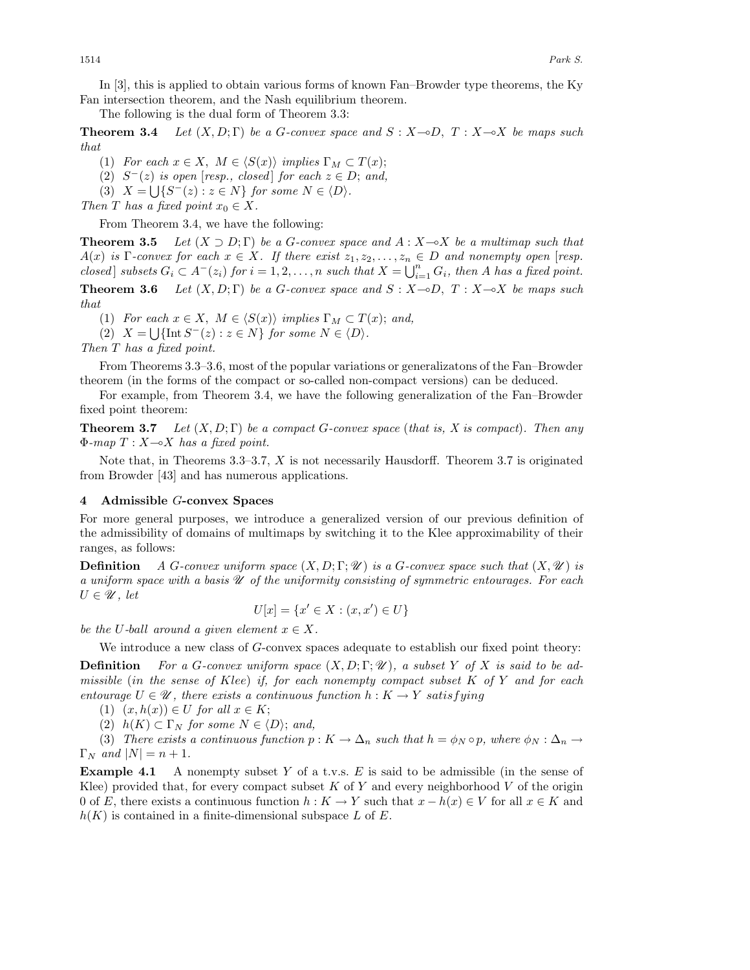In [3], this is applied to obtain various forms of known Fan–Browder type theorems, the Ky Fan intersection theorem, and the Nash equilibrium theorem.

The following is the dual form of Theorem 3.3:

**Theorem 3.4** *Let*  $(X, D; \Gamma)$  *be a G-convex space and*  $S: X \rightarrow D, T: X \rightarrow X$  *be maps such that*

(1) *For each*  $x \in X$ ,  $M \in \langle S(x) \rangle$  *implies*  $\Gamma_M \subset T(x)$ ;

(2)  $S^{-}(z)$  *is open* [*resp., closed*] *for each*  $z \in D$ ; *and,* 

(3)  $X = \bigcup \{ S^-(z) : z \in N \}$  for some  $N \in \langle D \rangle$ .

*Then T has a fixed point*  $x_0 \in X$ *.* 

From Theorem 3.4, we have the following:

**Theorem 3.5** *Let*  $(X \supset D; \Gamma)$  *be a G-convex space and*  $A: X \rightarrow X$  *be a multimap such that*  $A(x)$  *is* Γ*-convex for each*  $x \in X$ *. If there exist*  $z_1, z_2, \ldots, z_n \in D$  *and nonempty open* [*resp. closed* ] *subsets*  $G_i \subset A^-(z_i)$  *for*  $i = 1, 2, ..., n$  *such that*  $X = \bigcup_{i=1}^n G_i$ *, then* A *has a fixed point.* **Theorem 3.6** *Let*  $(X, D; \Gamma)$  *be a G-convex space and*  $S: X \rightarrow D, T: X \rightarrow X$  *be maps such that*

(1) *For each*  $x \in X$ ,  $M \in \langle S(x) \rangle$  *implies*  $\Gamma_M \subset T(x)$ ; and,

(2)  $X = \bigcup \{ \text{Int } S^{-}(z) : z \in N \}$  *for some*  $N \in \langle D \rangle$ *.* 

*Then* T *has a fixed point.*

From Theorems 3.3–3.6, most of the popular variations or generalizatons of the Fan–Browder theorem (in the forms of the compact or so-called non-compact versions) can be deduced.

For example, from Theorem 3.4, we have the following generalization of the Fan–Browder fixed point theorem:

**Theorem 3.7** *Let* (X, D; Γ) *be a compact* G*-convex space* (*that is, X is compact*)*. Then any* Φ*-map* T : X-X *has a fixed point.*

Note that, in Theorems 3.3–3.7, X is not necessarily Hausdorff. Theorem 3.7 is originated from Browder [43] and has numerous applications.

### **4 Admissible** G**-convex Spaces**

For more general purposes, we introduce a generalized version of our previous definition of the admissibility of domains of multimaps by switching it to the Klee approximability of their ranges, as follows:

**Definition** *A* G-convex uniform space  $(X, D; \Gamma; \mathcal{U})$  is a G-convex space such that  $(X, \mathcal{U})$  is *a uniform space with a basis U of the uniformity consisting of symmetric entourages. For each*  $U \in \mathscr{U}$ , let

$$
U[x] = \{x' \in X : (x, x') \in U\}
$$

*be the* U-ball around a given element  $x \in X$ .

We introduce a new class of G-convex spaces adequate to establish our fixed point theory:

**Definition** For a G-convex uniform space  $(X, D; \Gamma; \mathcal{U})$ , a subset Y of X is said to be ad*missible* (in *the sense of* Klee) *if, for each nonempty compact subset* K *of* Y *and for each entourage*  $U \in \mathcal{U}$ , there exists a continuous function  $h: K \to Y$  satisfying

(1)  $(x, h(x)) \in U$  *for all*  $x \in K$ ;

(2)  $h(K) \subset \Gamma_N$  *for some*  $N \in \langle D \rangle$ ; and,

(3) *There exists a continuous function*  $p : K \to \Delta_n$  *such that*  $h = \phi_N \circ p$ *, where*  $\phi_N : \Delta_n \to \Delta_n$  $\Gamma_N$  *and*  $|N| = n + 1$ .

**Example 4.1** A nonempty subset Y of a t.v.s. E is said to be admissible (in the sense of Klee) provided that, for every compact subset  $K$  of  $Y$  and every neighborhood  $V$  of the origin 0 of E, there exists a continuous function  $h: K \to Y$  such that  $x - h(x) \in V$  for all  $x \in K$  and  $h(K)$  is contained in a finite-dimensional subspace L of E.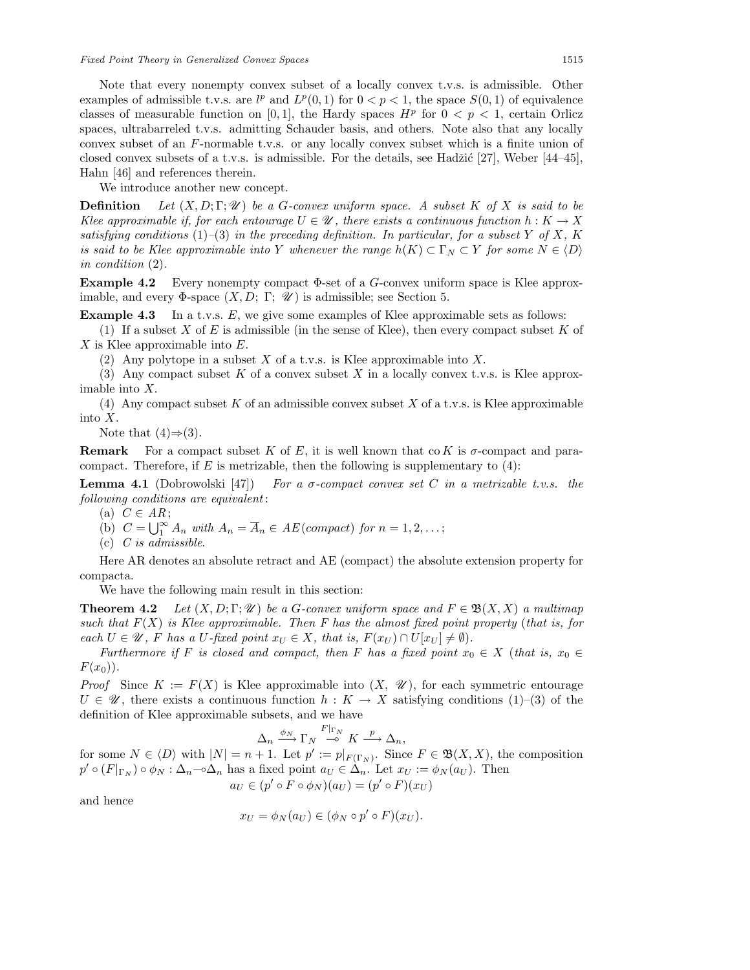Note that every nonempty convex subset of a locally convex t.v.s. is admissible. Other examples of admissible t.v.s. are  $l^p$  and  $L^p(0,1)$  for  $0 < p < 1$ , the space  $S(0,1)$  of equivalence classes of measurable function on [0, 1], the Hardy spaces  $H^p$  for  $0 < p < 1$ , certain Orlicz spaces, ultrabarreled t.v.s. admitting Schauder basis, and others. Note also that any locally convex subset of an F-normable t.v.s. or any locally convex subset which is a finite union of closed convex subsets of a t.v.s. is admissible. For the details, see Hadžić [27], Weber  $[44-45]$ , Hahn [46] and references therein.

We introduce another new concept.

**Definition** Let  $(X, D; \Gamma; \mathcal{U})$  be a G-convex uniform space. A subset K of X is said to be *Klee approximable if, for each entourage*  $U \in \mathcal{U}$ , there exists a continuous function  $h: K \to X$ *satisfying conditions* (1)–(3) *in the preceding definition. In particular, for a subset Y of X, K is said to be Klee approximable into* Y *whenever the range*  $h(K) \subset \Gamma_N \subset Y$  *for some*  $N \in \langle D \rangle$ *in condition* (2).

**Example 4.2** Every nonempty compact Φ-set of a G-convex uniform space is Klee approximable, and every  $\Phi$ -space  $(X, D; \Gamma; \mathcal{U})$  is admissible; see Section 5.

**Example 4.3** In a t.v.s. E, we give some examples of Klee approximable sets as follows:

(1) If a subset  $X$  of  $E$  is admissible (in the sense of Klee), then every compact subset  $K$  of X is Klee approximable into E.

(2) Any polytope in a subset X of a t.v.s. is Klee approximable into X.

(3) Any compact subset K of a convex subset X in a locally convex t.v.s. is Klee approximable into X.

(4) Any compact subset K of an admissible convex subset X of a t.v.s. is Klee approximable into X.

Note that  $(4) \Rightarrow (3)$ .

**Remark** For a compact subset K of E, it is well known that co K is  $\sigma$ -compact and paracompact. Therefore, if  $E$  is metrizable, then the following is supplementary to  $(4)$ :

**Lemma 4.1** (Dobrowolski [47]) *For a* σ*-compact convex set* C *in a metrizable t.v.s. the following conditions are equivalent* :

- (a)  $C \in AR$ ;
- (b)  $C = \bigcup_{1}^{\infty} A_n$  *with*  $A_n = \overline{A}_n \in AE$  (compact) for  $n = 1, 2, ...$ ;
- (c) *C is admissible*.

Here AR denotes an absolute retract and AE (compact) the absolute extension property for compacta.

We have the following main result in this section:

**Theorem 4.2** *Let*  $(X, D; \Gamma; \mathcal{U})$  *be a G-convex uniform space and*  $F \in \mathfrak{B}(X, X)$  *a multimap such that* F(X) *is Klee approximable. Then F has the almost fixed point property* (*that is, for each*  $U \in \mathcal{U}$ , F has a U-fixed point  $x_U \in X$ , that is,  $F(x_U) \cap U[x_U] \neq \emptyset$ .

*Furthermore if* F *is closed and compact, then* F *has a fixed point*  $x_0 \in X$  (*that is,*  $x_0 \in X$  $F(x_0)$ .

*Proof* Since  $K := F(X)$  is Klee approximable into  $(X, \mathcal{U})$ , for each symmetric entourage  $U \in \mathscr{U}$ , there exists a continuous function  $h: K \to X$  satisfying conditions (1)–(3) of the definition of Klee approximable subsets, and we have

$$
\Delta_n \xrightarrow{\phi_N} \Gamma_N \xrightarrow{F|_{\Gamma_N}} K \xrightarrow{p} \Delta_n,
$$

for some  $N \in \langle D \rangle$  with  $|N| = n + 1$ . Let  $p' := p|_{F(\Gamma_N)}$ . Since  $F \in \mathfrak{B}(X,X)$ , the composition  $p' \circ (F|_{\Gamma_N}) \circ \phi_N : \Delta_n \circ \Delta_n$  has a fixed point  $a_U \in \Delta_n$ . Let  $x_U := \phi_N(a_U)$ . Then

 $a_U \in (p' \circ F \circ \phi_N)(a_U) = (p' \circ F)(x_U)$ 

and hence

$$
x_U = \phi_N(a_U) \in (\phi_N \circ p' \circ F)(x_U).
$$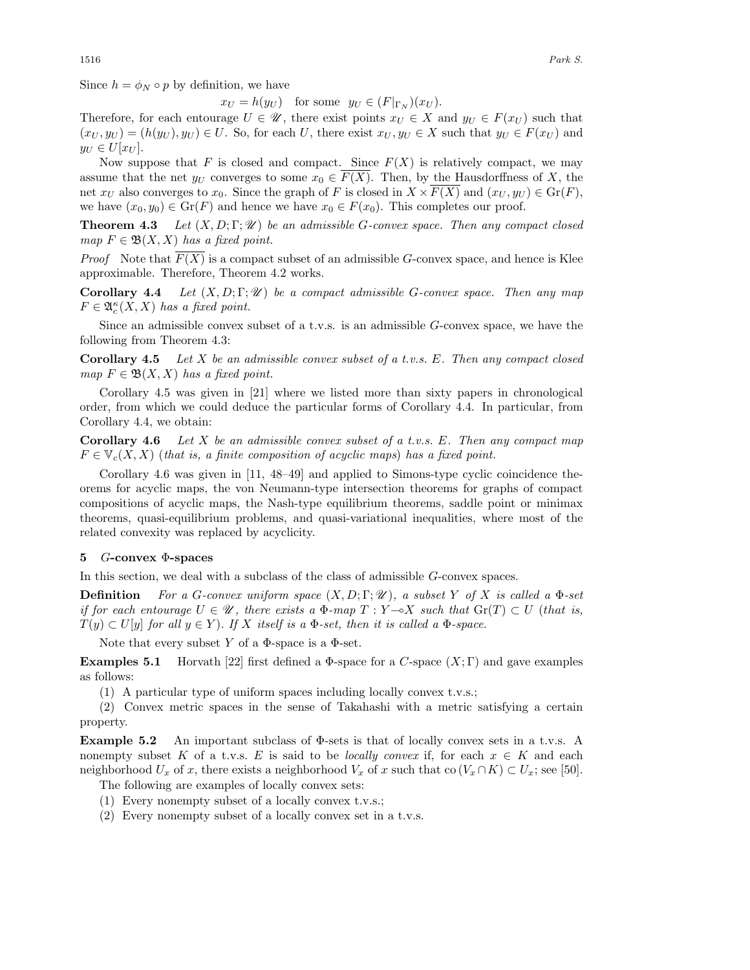Since  $h = \phi_N \circ p$  by definition, we have

 $x_U = h(y_U)$  for some  $y_U \in (F|_{\Gamma_N})(x_U)$ .

Therefore, for each entourage  $U \in \mathscr{U}$ , there exist points  $x_U \in X$  and  $y_U \in F(x_U)$  such that  $(x_U, y_U) = (h(y_U), y_U) \in U$ . So, for each U, there exist  $x_U, y_U \in X$  such that  $y_U \in F(x_U)$  and  $y_U \in U[x_U].$ 

Now suppose that F is closed and compact. Since  $F(X)$  is relatively compact, we may assume that the net  $y_U$  converges to some  $x_0 \in F(X)$ . Then, by the Hausdorffness of X, the net  $x_U$  also converges to  $x_0$ . Since the graph of F is closed in  $X \times F(X)$  and  $(x_U, y_U) \in \text{Gr}(F)$ , we have  $(x_0, y_0) \in \text{Gr}(F)$  and hence we have  $x_0 \in F(x_0)$ . This completes our proof.

**Theorem 4.3** *Let* (X, D; Γ; *U* ) *be an admissible* G*-convex space. Then any compact closed map*  $F \in \mathfrak{B}(X,X)$  *has a fixed point.* 

*Proof* Note that  $F(X)$  is a compact subset of an admissible G-convex space, and hence is Klee approximable. Therefore, Theorem 4.2 works.

**Corollary 4.4** *Let* (X, D; Γ; *U* ) *be a compact admissible* G*-convex space. Then any map*  $F \in \mathfrak{A}_c^{\kappa}(X,X)$  has a fixed point.

Since an admissible convex subset of a t.v.s. is an admissible G-convex space, we have the following from Theorem 4.3:

**Corollary 4.5** *Let* X *be an admissible convex subset of a t.v.s.* E*. Then any compact closed map*  $F \in \mathfrak{B}(X,X)$  *has a fixed point.* 

Corollary 4.5 was given in [21] where we listed more than sixty papers in chronological order, from which we could deduce the particular forms of Corollary 4.4. In particular, from Corollary 4.4, we obtain:

**Corollary 4.6** *Let* X *be an admissible convex subset of a t.v.s.* E*. Then any compact map*  $F \in V_c(X, X)$  (*that is, a finite composition of acyclic maps*) has a fixed point.

Corollary 4.6 was given in [11, 48–49] and applied to Simons-type cyclic coincidence theorems for acyclic maps, the von Neumann-type intersection theorems for graphs of compact compositions of acyclic maps, the Nash-type equilibrium theorems, saddle point or minimax theorems, quasi-equilibrium problems, and quasi-variational inequalities, where most of the related convexity was replaced by acyclicity.

### **5** G**-convex** Φ**-spaces**

In this section, we deal with a subclass of the class of admissible G-convex spaces.

**Definition** *For a* G*-convex uniform space* (X, D; Γ; *U* )*, a subset* Y *of* X *is called a* Φ*-set if for each entourage*  $U \in \mathcal{U}$ , there exists a  $\Phi$ -map  $T : Y \rightarrow X$  such that  $\text{Gr}(T) \subset U$  (that is,  $T(y) \subset U[y]$  *for all*  $y \in Y$ *). If* X *itself is a*  $\Phi$ *-set, then it is called a*  $\Phi$ *-space.* 

Note that every subset Y of a  $\Phi$ -space is a  $\Phi$ -set.

**Examples 5.1** Horvath [22] first defined a  $\Phi$ -space for a C-space  $(X;\Gamma)$  and gave examples as follows:

(1) A particular type of uniform spaces including locally convex t.v.s.;

(2) Convex metric spaces in the sense of Takahashi with a metric satisfying a certain property.

**Example 5.2** An important subclass of Φ-sets is that of locally convex sets in a t.v.s. A nonempty subset K of a t.v.s. E is said to be *locally convex* if, for each  $x \in K$  and each neighborhood  $U_x$  of x, there exists a neighborhood  $V_x$  of x such that co  $(V_x \cap K) \subset U_x$ ; see [50].

The following are examples of locally convex sets:

- (1) Every nonempty subset of a locally convex t.v.s.;
- (2) Every nonempty subset of a locally convex set in a t.v.s.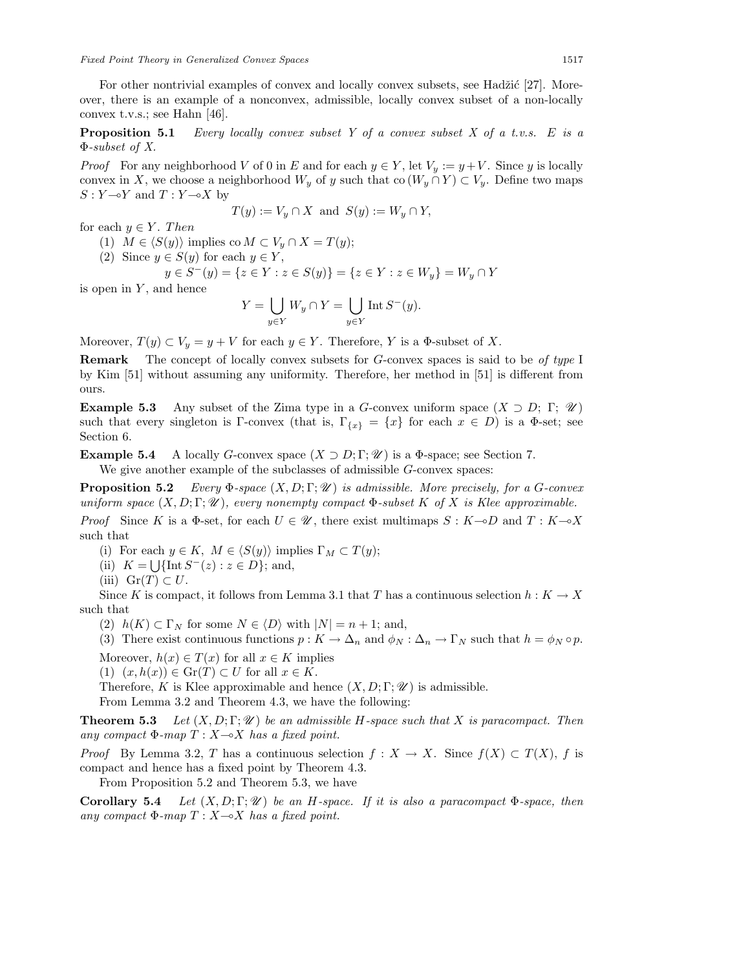For other nontrivial examples of convex and locally convex subsets, see Hadžić [27]. Moreover, there is an example of a nonconvex, admissible, locally convex subset of a non-locally convex t.v.s.; see Hahn [46].

**Proposition 5.1** *Every locally convex subset Y of a convex subset X of a t.v.s.* E *is a* Φ*-subset of X.*

*Proof* For any neighborhood V of 0 in E and for each  $y \in Y$ , let  $V_y := y + V$ . Since y is locally convex in X, we choose a neighborhood  $W_y$  of y such that co  $(W_y \cap Y) \subset V_y$ . Define two maps  $S: Y \rightarrow Y$  and  $T: Y \rightarrow X$  by

$$
T(y) := V_y \cap X \text{ and } S(y) := W_y \cap Y,
$$

for each  $y \in Y$ . Then

- (1)  $M \in \langle S(y) \rangle$  implies co  $M \subset V_y \cap X = T(y);$
- (2) Since  $y \in S(y)$  for each  $y \in Y$ ,

$$
y \in S^-(y) = \{ z \in Y : z \in S(y) \} = \{ z \in Y : z \in W_y \} = W_y \cap Y
$$

is open in  $Y$ , and hence

$$
Y = \bigcup_{y \in Y} W_y \cap Y = \bigcup_{y \in Y} \text{Int } S^-(y).
$$

Moreover,  $T(y) \subset V_y = y + V$  for each  $y \in Y$ . Therefore, Y is a  $\Phi$ -subset of X.

**Remark** The concept of locally convex subsets for G-convex spaces is said to be *of type* I by Kim [51] without assuming any uniformity. Therefore, her method in [51] is different from ours.

**Example 5.3** Any subset of the Zima type in a G-convex uniform space  $(X \supset D; \Gamma; \mathcal{U})$ such that every singleton is Γ-convex (that is,  $\Gamma_{\{x\}} = \{x\}$  for each  $x \in D$ ) is a Φ-set; see Section 6.

**Example 5.4** A locally G-convex space  $(X \supset D; \Gamma; \mathcal{U})$  is a  $\Phi$ -space; see Section 7.

We give another example of the subclasses of admissible G-convex spaces:

**Proposition 5.2** *Every* Φ*-space* (X, D; Γ; *U* ) *is admissible. More precisely, for a* G*-convex uniform space*  $(X, D; \Gamma; \mathcal{U})$ *, every nonempty compact*  $\Phi$ *-subset* K *of* X *is Klee approximable. Proof* Since K is a  $\Phi$ -set, for each  $U \in \mathcal{U}$ , there exist multimaps  $S : K \rightarrow D$  and  $T : K \rightarrow X$ such that

- (i) For each  $y \in K$ ,  $M \in \langle S(y) \rangle$  implies  $\Gamma_M \subset T(y)$ ;
- (ii)  $K = \bigcup \{ \text{Int } S^{-}(z) : z \in D \};$  and,
- (iii)  $\text{Gr}(T) \subset U$ .

Since K is compact, it follows from Lemma 3.1 that T has a continuous selection  $h: K \to X$ such that

(2)  $h(K) \subset \Gamma_N$  for some  $N \in \langle D \rangle$  with  $|N| = n + 1$ ; and,

(3) There exist continuous functions  $p : K \to \Delta_n$  and  $\phi_N : \Delta_n \to \Gamma_N$  such that  $h = \phi_N \circ p$ .

Moreover,  $h(x) \in T(x)$  for all  $x \in K$  implies

(1)  $(x, h(x)) \in \mathrm{Gr}(T) \subset U$  for all  $x \in K$ .

Therefore, K is Klee approximable and hence  $(X, D; \Gamma; \mathcal{U})$  is admissible.

From Lemma 3.2 and Theorem 4.3, we have the following:

**Theorem 5.3** Let  $(X, D; \Gamma; \mathcal{U})$  be an admissible H-space such that X is paracompact. Then *any compact*  $\Phi$ -map  $T : X \rightarrow X$  *has a fixed point.* 

*Proof* By Lemma 3.2, T has a continuous selection  $f: X \to X$ . Since  $f(X) \subset T(X)$ , f is compact and hence has a fixed point by Theorem 4.3.

From Proposition 5.2 and Theorem 5.3, we have

**Corollary 5.4** *Let*  $(X, D; \Gamma; \mathcal{U})$  *be an H-space. If it is also a paracompact*  $\Phi$ *-space, then any compact*  $\Phi$ -map  $T : X \rightarrow X$  *has a fixed point.*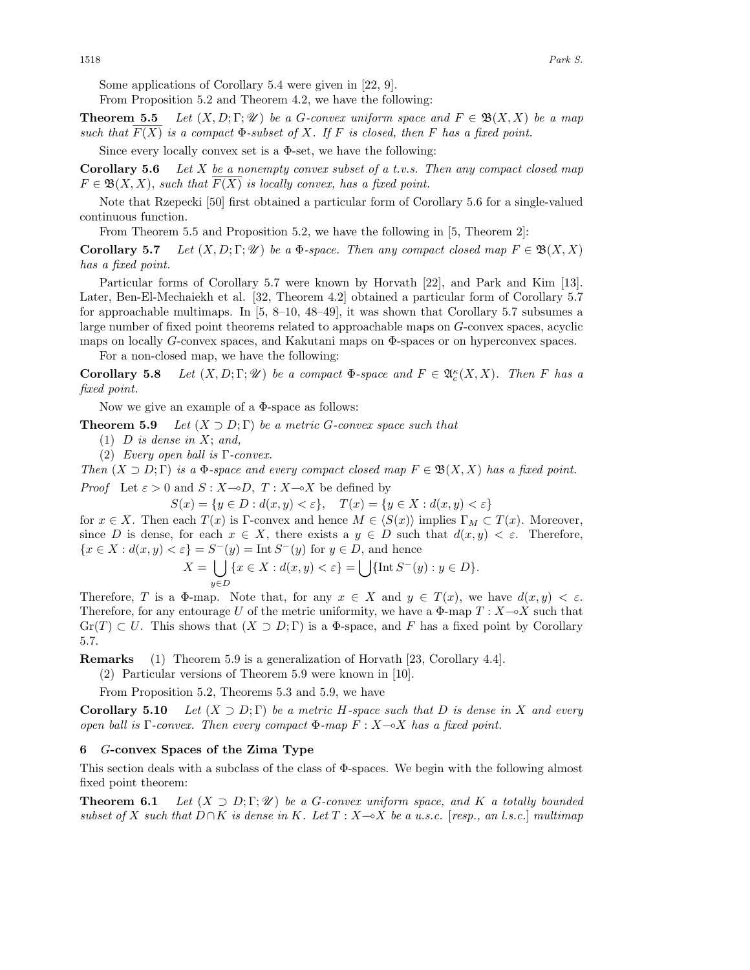Some applications of Corollary 5.4 were given in [22, 9].

From Proposition 5.2 and Theorem 4.2, we have the following:

**Theorem 5.5** Let  $(X, D; \Gamma; \mathcal{U})$  be a G-convex uniform space and  $F \in \mathfrak{B}(X, X)$  be a map *such that*  $F(X)$  *is a compact*  $\Phi$ *-subset of* X*. If* F *is closed, then* F *has a fixed point.* 

Since every locally convex set is a  $\Phi$ -set, we have the following:

**Corollary 5.6** *Let* X *be a nonempty convex subset of a t.v.s. Then any compact closed map*  $F \in \mathfrak{B}(X,X)$ , *such that*  $F(X)$  *is locally convex, has a fixed point.* 

Note that Rzepecki [50] first obtained a particular form of Corollary 5.6 for a single-valued continuous function.

From Theorem 5.5 and Proposition 5.2, we have the following in [5, Theorem 2]:

**Corollary 5.7** *Let*  $(X, D; \Gamma; \mathcal{U})$  *be a*  $\Phi$ *-space. Then any compact closed map*  $F \in \mathcal{B}(X, X)$ *has a fixed point.*

Particular forms of Corollary 5.7 were known by Horvath [22], and Park and Kim [13]. Later, Ben-El-Mechaiekh et al. [32, Theorem 4.2] obtained a particular form of Corollary 5.7 for approachable multimaps. In  $[5, 8-10, 48-49]$ , it was shown that Corollary 5.7 subsumes a large number of fixed point theorems related to approachable maps on G-convex spaces, acyclic maps on locally G-convex spaces, and Kakutani maps on Φ-spaces or on hyperconvex spaces.

For a non-closed map, we have the following:

**Corollary 5.8** *Let*  $(X, D; \Gamma; \mathcal{U})$  *be a compact*  $\Phi$ *-space and*  $F \in \mathfrak{A}_{c}^{\kappa}(X, X)$ *. Then* F *has a fixed point.*

Now we give an example of a Φ-space as follows:

**Theorem 5.9** *Let*  $(X \supset D; \Gamma)$  *be a metric G-convex space such that* 

- (1) D *is dense in* X; *and,*
- (2) *Every open ball is* Γ*-convex.*

*Then*  $(X \supset D; \Gamma)$  *is a*  $\Phi$ *-space and every compact closed map*  $F \in \mathfrak{B}(X, X)$  *has a fixed point.* 

*Proof* Let  $\varepsilon > 0$  and  $S: X \rightarrow D$ ,  $T: X \rightarrow X$  be defined by

 $S(x) = \{y \in D : d(x, y) < \varepsilon\},$   $T(x) = \{y \in X : d(x, y) < \varepsilon\}$ 

for  $x \in X$ . Then each  $T(x)$  is Γ-convex and hence  $M \in \langle S(x) \rangle$  implies  $\Gamma_M \subset T(x)$ . Moreover, since D is dense, for each  $x \in X$ , there exists a  $y \in D$  such that  $d(x, y) < \varepsilon$ . Therefore,  ${x \in X : d(x, y) < \varepsilon} = S^{-}(y) = \text{Int } S^{-}(y)$  for  $y \in D$ , and hence

$$
X = \bigcup_{y \in D} \{x \in X : d(x, y) < \varepsilon\} = \bigcup \{\text{Int } S^-(y) : y \in D\}.
$$

Therefore, T is a  $\Phi$ -map. Note that, for any  $x \in X$  and  $y \in T(x)$ , we have  $d(x, y) < \varepsilon$ . Therefore, for any entourage U of the metric uniformity, we have a  $\Phi$ -map  $T: X \rightarrow X$  such that  $\text{Gr}(T) \subset U$ . This shows that  $(X \supset D; \Gamma)$  is a  $\Phi$ -space, and F has a fixed point by Corollary 5.7.

**Remarks** (1) Theorem 5.9 is a generalization of Horvath [23, Corollary 4.4].

(2) Particular versions of Theorem 5.9 were known in [10].

From Proposition 5.2, Theorems 5.3 and 5.9, we have

**Corollary 5.10** *Let*  $(X \supset D; \Gamma)$  *be a metric H-space such that* D *is dense in* X *and every open ball is* Γ*-convex. Then every compact* Φ*-map* F : X-X *has a fixed point.*

## **6** G**-convex Spaces of the Zima Type**

This section deals with a subclass of the class of Φ-spaces. We begin with the following almost fixed point theorem:

**Theorem 6.1** *Let*  $(X \supset D; \Gamma; \mathcal{U})$  *be a G-convex uniform space, and* K *a totally bounded subset of* X *such that* D∩K *is dense in* K*. Let* T : X-X *be a u.s.c.* [*resp., an l.s.c.*] *multimap*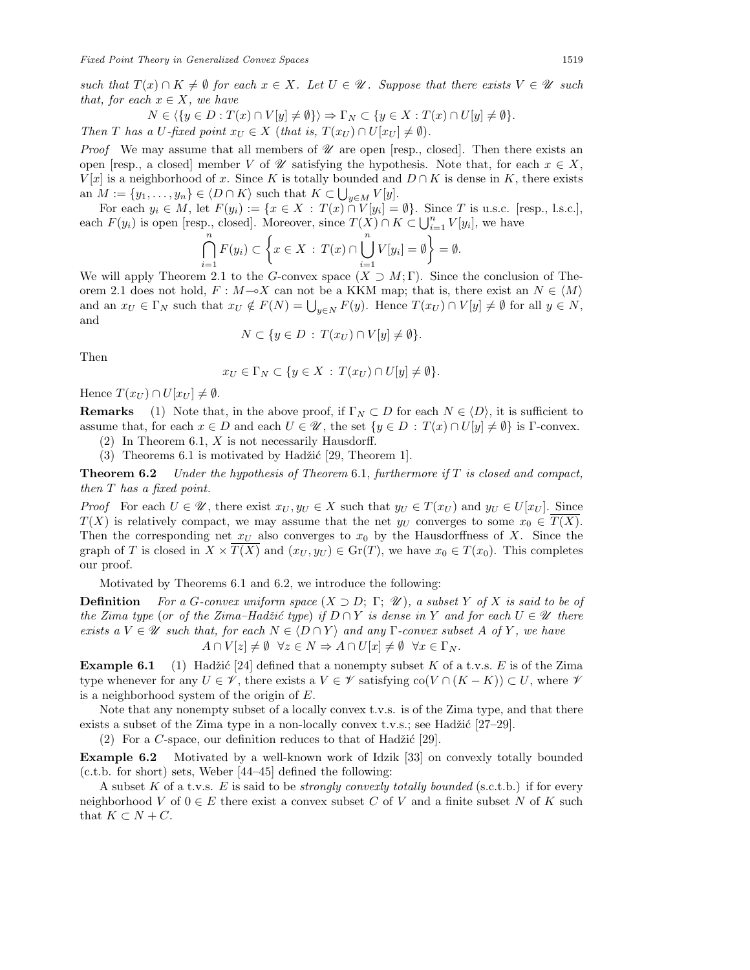*such that*  $T(x) \cap K \neq \emptyset$  *for each*  $x \in X$ *. Let*  $U \in \mathcal{U}$ *. Suppose that there exists*  $V \in \mathcal{U}$  *such that, for each*  $x \in X$ *, we have* 

$$
N \in \langle \{y \in D : T(x) \cap V[y] \neq \emptyset \} \rangle \Rightarrow \Gamma_N \subset \{y \in X : T(x) \cap U[y] \neq \emptyset \}.
$$
  
Then T has a U-fixed point  $x_U \in X$  (that is,  $T(x_U) \cap U[x_U] \neq \emptyset$ ).

*Proof* We may assume that all members of  $\mathscr U$  are open [resp., closed]. Then there exists an open [resp., a closed] member V of  $\mathscr U$  satisfying the hypothesis. Note that, for each  $x \in X$ ,  $V[x]$  is a neighborhood of x. Since K is totally bounded and  $D \cap K$  is dense in K, there exists an  $M := \{y_1, \ldots, y_n\} \in \langle D \cap K \rangle$  such that  $K \subset \bigcup_{y \in M} V[y]$ .

For each  $y_i \in M$ , let  $F(y_i) := \{x \in X : T(x) \cap V[y_i] = \emptyset\}$ . Since T is u.s.c. [resp., l.s.c.], each  $F(y_i)$  is open [resp., closed]. Moreover, since  $T(X) \cap K \subset \bigcup_{i=1}^n V[y_i]$ , we have

$$
\bigcap_{i=1}^{n} F(y_i) \subset \left\{ x \in X : T(x) \cap \bigcup_{i=1}^{n} V[y_i] = \emptyset \right\} = \emptyset.
$$

We will apply Theorem 2.1 to the G-convex space  $(X \supset M; \Gamma)$ . Since the conclusion of Theorem 2.1 does not hold,  $F : M \rightarrow X$  can not be a KKM map; that is, there exist an  $N \in \langle M \rangle$ and an  $x_U \in \Gamma_N$  such that  $x_U \notin F(N) = \bigcup_{y \in N} F(y)$ . Hence  $T(x_U) \cap V[y] \neq \emptyset$  for all  $y \in N$ , and

$$
N \subset \{ y \in D : T(x_U) \cap V[y] \neq \emptyset \}.
$$

Then

$$
x_U \in \Gamma_N \subset \{ y \in X \, : \, T(x_U) \cap U[y] \neq \emptyset \}.
$$

Hence  $T(x_U) \cap U[x_U] \neq \emptyset$ .

**Remarks** (1) Note that, in the above proof, if  $\Gamma_N \subset D$  for each  $N \in \langle D \rangle$ , it is sufficient to assume that, for each  $x \in D$  and each  $U \in \mathcal{U}$ , the set  $\{y \in D : T(x) \cap U[y] \neq \emptyset\}$  is Γ-convex.

- $(2)$  In Theorem 6.1, X is not necessarily Hausdorff.
- (3) Theorems 6.1 is motivated by Hadžić [29, Theorem 1].

**Theorem 6.2** *Under the hypothesis of Theorem* 6.1, *furthermore if* T *is closed and compact, then* T *has a fixed point.*

*Proof* For each  $U \in \mathcal{U}$ , there exist  $x_U, y_U \in X$  such that  $y_U \in T(x_U)$  and  $y_U \in U[x_U]$ . Since  $T(X)$  is relatively compact, we may assume that the net  $y_U$  converges to some  $x_0 \in T(X)$ . Then the corresponding net  $x_U$  also converges to  $x_0$  by the Hausdorffness of X. Since the graph of T is closed in  $X \times T(X)$  and  $(x_U, y_U) \in \text{Gr}(T)$ , we have  $x_0 \in T(x_0)$ . This completes our proof.

Motivated by Theorems 6.1 and 6.2, we introduce the following:

**Definition** *For a* G-convex uniform space  $(X \supset D; \Gamma; \mathcal{U})$ *, a subset* Y of X is said to be of *the Zima type* (or *of the Zima–Hadžić type*) *if*  $D \cap Y$  *is dense in* Y *and for each*  $U \in \mathcal{U}$  *there exists a*  $V \in \mathcal{U}$  *such that, for each*  $N \in \{D \cap Y\}$  *and any*  $\Gamma$ *-convex subset* A *of* Y, we have  $A \cap V[z] \neq \emptyset \quad \forall z \in N \Rightarrow A \cap U[x] \neq \emptyset \quad \forall x \in \Gamma_N.$ 

**Example 6.1** (1) Hadžić [24] defined that a nonempty subset K of a t.v.s. E is of the Zima type whenever for any  $U \in \mathscr{V}$ , there exists a  $V \in \mathscr{V}$  satisfying co $(V \cap (K - K)) \subset U$ , where  $\mathscr{V}$ is a neighborhood system of the origin of E.

Note that any nonempty subset of a locally convex t.v.s. is of the Zima type, and that there exists a subset of the Zima type in a non-locally convex t.v.s.; see Hadžić  $[27-29]$ .

(2) For a C-space, our definition reduces to that of Hadžić [29].

**Example 6.2** Motivated by a well-known work of Idzik [33] on convexly totally bounded (c.t.b. for short) sets, Weber [44–45] defined the following:

A subset K of a t.v.s. E is said to be *strongly convexly totally bounded* (s.c.t.b.) if for every neighborhood V of  $0 \in E$  there exist a convex subset C of V and a finite subset N of K such that  $K \subset N + C$ .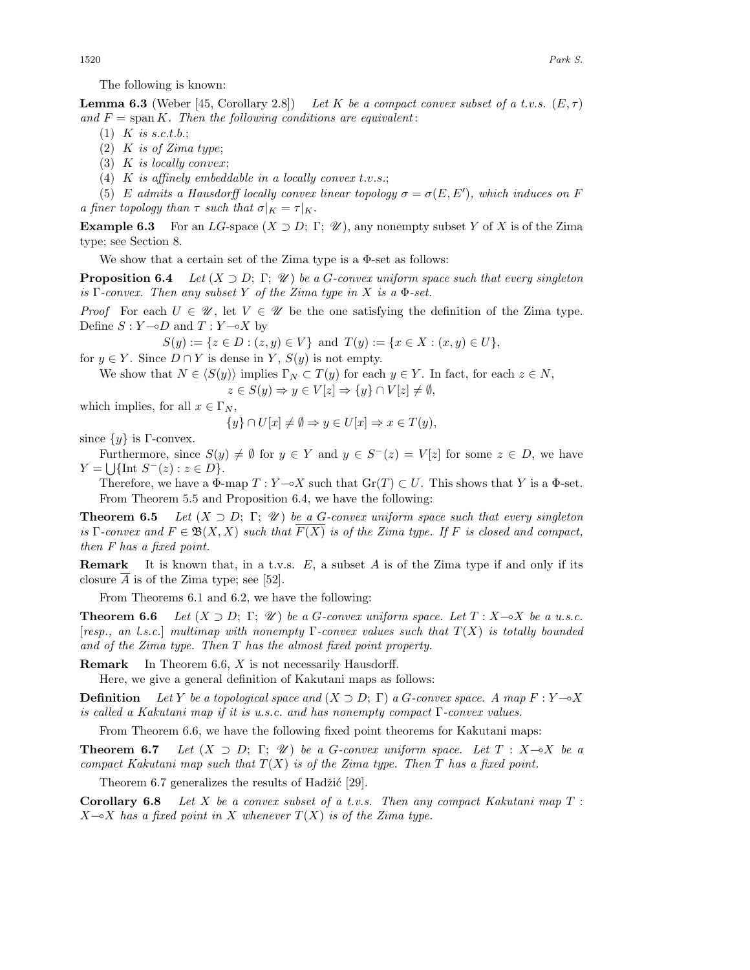The following is known:

**Lemma 6.3** (Weber [45, Corollary 2.8]) *Let* K *be a compact convex subset of a t.v.s.* ( $E, \tau$ ) and  $F = \text{span } K$ . Then the following conditions are equivalent:

- (1) K *is* s.c.t.b.;
- (2) K *is of Zima* type;
- (3) K *is locally* convex;
- (4) K *is affinely embeddable in a locally convex* t.v.s.;

(5) E admits a Hausdorff locally convex linear topology  $\sigma = \sigma(E, E')$ , which induces on F *a finer topology than*  $\tau$  *such that*  $\sigma|_K = \tau|_K$ .

**Example 6.3** For an LG-space  $(X \supset D; \Gamma; \mathcal{U})$ , any nonempty subset Y of X is of the Zima type; see Section 8.

We show that a certain set of the Zima type is a Φ-set as follows:

**Proposition 6.4** *Let* (X ⊃ D; Γ; *U* ) *be a* G*-convex uniform space such that every singleton is* Γ*-convex. Then any subset* Y *of the Zima type in* X *is a* Φ*-set.*

*Proof* For each  $U \in \mathcal{U}$ , let  $V \in \mathcal{U}$  be the one satisfying the definition of the Zima type. Define  $S: Y \rightarrow D$  and  $T: Y \rightarrow X$  by

 $S(y) := \{z \in D : (z, y) \in V\}$  and  $T(y) := \{x \in X : (x, y) \in U\},\$ 

for  $y \in Y$ . Since  $D \cap Y$  is dense in Y,  $S(y)$  is not empty.

We show that  $N \in \langle S(y) \rangle$  implies  $\Gamma_N \subset T(y)$  for each  $y \in Y$ . In fact, for each  $z \in N$ ,

$$
z \in S(y) \Rightarrow y \in V[z] \Rightarrow \{y\} \cap V[z] \neq \emptyset,
$$

which implies, for all  $x \in \Gamma_N$ ,

 ${y} \cap U[x] \neq \emptyset \Rightarrow y \in U[x] \Rightarrow x \in T(y),$ 

since  $\{y\}$  is Γ-convex.

Furthermore, since  $S(y) \neq \emptyset$  for  $y \in Y$  and  $y \in S^{-}(z) = V[z]$  for some  $z \in D$ , we have  $Y = \bigcup \{ \text{Int } S^-(z) : z \in D \}.$ 

Therefore, we have a  $\Phi$ -map  $T: Y \rightarrow X$  such that  $\text{Gr}(T) \subset U$ . This shows that Y is a  $\Phi$ -set. From Theorem 5.5 and Proposition 6.4, we have the following:

**Theorem 6.5** Let  $(X \supset D; \Gamma; \mathcal{U})$  be a G-convex uniform space such that every singleton *is*  $\Gamma$ -convex and  $F \in \mathfrak{B}(X,X)$  *such that*  $F(X)$  *is of the Zima type. If* F *is closed and compact, then F has a fixed point.*

**Remark** It is known that, in a t.v.s. E, a subset A is of the Zima type if and only if its closure  $\overline{A}$  is of the Zima type; see [52].

From Theorems 6.1 and 6.2, we have the following:

**Theorem 6.6** *Let*  $(X \supset D; \Gamma; \mathcal{U})$  *be a G-convex uniform space. Let*  $T: X \rightarrow X$  *be a u.s.c.* [*resp., an l.s.c.*] *multimap with nonempty* Γ*-convex values such that* T(X) *is totally bounded and of the Zima type. Then* T *has the almost fixed point property.*

**Remark** In Theorem 6.6, X is not necessarily Hausdorff.

Here, we give a general definition of Kakutani maps as follows:

**Definition** *Let* Y *be a topological space and*  $(X \supset D; \Gamma)$  *a G-convex space. A map*  $F: Y \rightarrow X$ *is called a Kakutani map if it is u.s.c. and has nonempty compact* Γ*-convex values.*

From Theorem 6.6, we have the following fixed point theorems for Kakutani maps:

**Theorem 6.7** *Let*  $(X \supset D; \Gamma; \mathcal{U})$  *be a G-convex uniform space. Let*  $T : X \rightarrow X$  *be a compact Kakutani map such that* T(X) *is of the Zima type. Then* T *has a fixed point.*

Theorem 6.7 generalizes the results of Hadžić  $[29]$ .

**Corollary 6.8** *Let* X *be a convex subset of a t.v.s. Then any compact Kakutani map* T : X-X *has a fixed point in* X *whenever* T(X) *is of the Zima type.*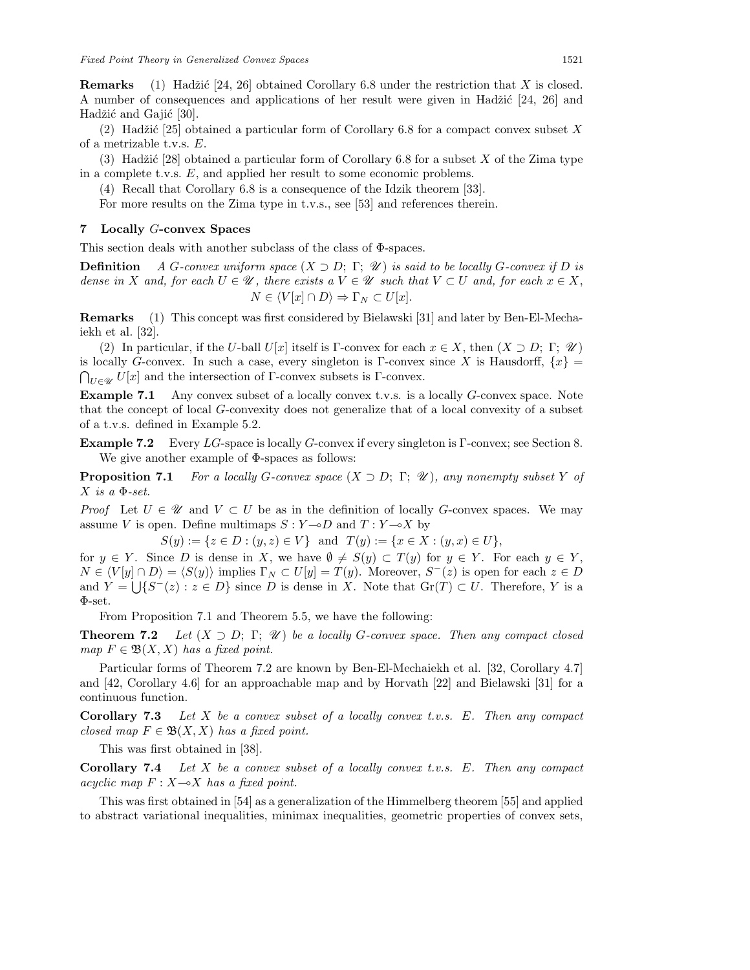**Remarks** (1) Hadžić [24, 26] obtained Corollary 6.8 under the restriction that X is closed. A number of consequences and applications of her result were given in Hadžić  $[24, 26]$  and Hadžić and Gajić [30].

(2) Hadžić [25] obtained a particular form of Corollary 6.8 for a compact convex subset X of a metrizable t.v.s. E.

(3) Hadžić [28] obtained a particular form of Corollary 6.8 for a subset X of the Zima type in a complete t.v.s. E, and applied her result to some economic problems.

(4) Recall that Corollary 6.8 is a consequence of the Idzik theorem [33].

For more results on the Zima type in t.v.s., see [53] and references therein.

## **7 Locally** G**-convex Spaces**

This section deals with another subclass of the class of Φ-spaces.

**Definition** *A* G-convex uniform space  $(X \supset D; \Gamma; \mathcal{U})$  is said to be locally G-convex if D is *dense in* X and, for each  $U \in \mathcal{U}$ , there exists a  $V \in \mathcal{U}$  *such that*  $V \subset U$  *and, for each*  $x \in X$ ,  $N \in \langle V[x] \cap D \rangle \Rightarrow \Gamma_N \subset U[x].$ 

**Remarks** (1) This concept was first considered by Bielawski [31] and later by Ben-El-Mechaiekh et al. [32].

(2) In particular, if the U-ball U[x] itself is Γ-convex for each  $x \in X$ , then  $(X \supset D; \Gamma; \mathcal{U})$ is locally G-convex. In such a case, every singleton is Γ-convex since X is Hausdorff,  $\{x\}$  =  $\bigcap_{U \in \mathscr{U}} U[x]$  and the intersection of  $\Gamma$ -convex subsets is  $\Gamma$ -convex.

**Example 7.1** Any convex subset of a locally convex t.v.s. is a locally G-convex space. Note that the concept of local G-convexity does not generalize that of a local convexity of a subset of a t.v.s. defined in Example 5.2.

**Example 7.2** Every LG-space is locally G-convex if every singleton is Γ-convex; see Section 8. We give another example of Φ-spaces as follows:

**Proposition 7.1** *For a locally* G*-convex space* (X ⊃ D; Γ; *U* )*, any nonempty subset* Y *of*  $X$  *is a*  $\Phi$ *-set.* 

*Proof* Let  $U \in \mathcal{U}$  and  $V \subset U$  be as in the definition of locally G-convex spaces. We may assume V is open. Define multimaps  $S: Y \rightarrow D$  and  $T: Y \rightarrow X$  by

 $S(y) := \{z \in D : (y, z) \in V\}$  and  $T(y) := \{x \in X : (y, x) \in U\},\$ 

for  $y \in Y$ . Since D is dense in X, we have  $\emptyset \neq S(y) \subset T(y)$  for  $y \in Y$ . For each  $y \in Y$ ,  $N \in \langle V[y] \cap D \rangle = \langle S(y) \rangle$  implies  $\Gamma_N \subset U[y] = T(y)$ . Moreover,  $S^-(z)$  is open for each  $z \in D$ and  $Y = \bigcup \{S^-(z) : z \in D\}$  since D is dense in X. Note that  $Gr(T) \subset U$ . Therefore, Y is a Φ-set.

From Proposition 7.1 and Theorem 5.5, we have the following:

**Theorem 7.2** *Let*  $(X \supset D; \Gamma; \mathcal{U})$  *be a locally G-convex space. Then any compact closed map*  $F \in \mathfrak{B}(X,X)$  *has a fixed point.* 

Particular forms of Theorem 7.2 are known by Ben-El-Mechaiekh et al. [32, Corollary 4.7] and [42, Corollary 4.6] for an approachable map and by Horvath [22] and Bielawski [31] for a continuous function.

**Corollary 7.3** *Let* X *be a convex subset of a locally convex t.v.s.* E*. Then any compact closed map*  $F \in \mathfrak{B}(X,X)$  *has a fixed point.* 

This was first obtained in [38].

**Corollary 7.4** *Let* X *be a convex subset of a locally convex t.v.s.* E*. Then any compact*  $acyclic map$   $F: X \rightarrow X$  *has a fixed point.* 

This was first obtained in [54] as a generalization of the Himmelberg theorem [55] and applied to abstract variational inequalities, minimax inequalities, geometric properties of convex sets,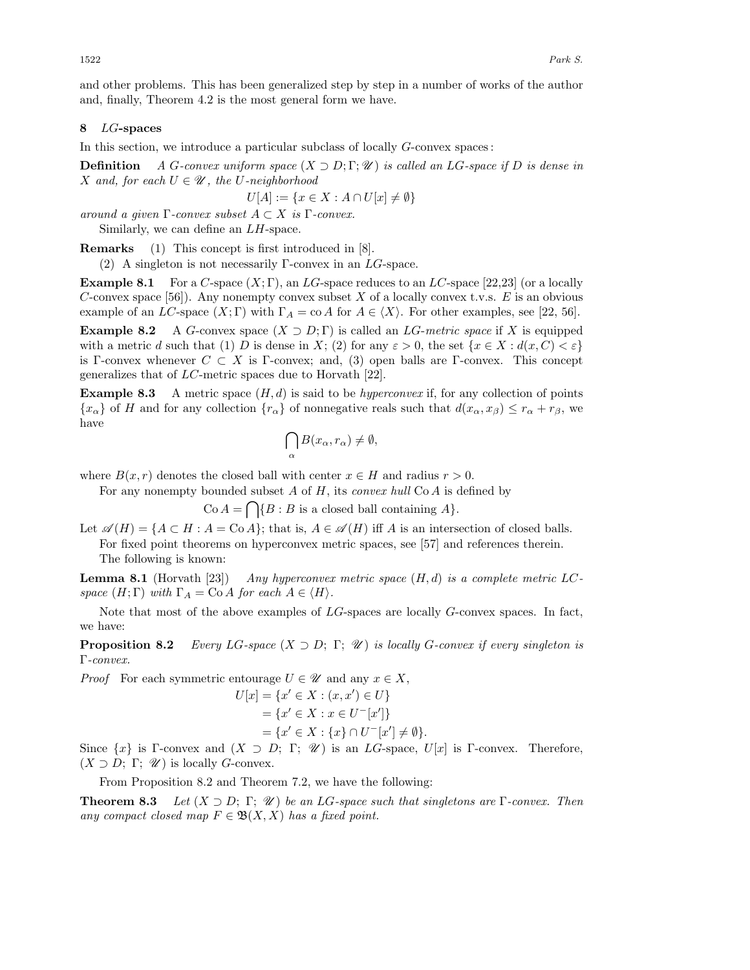and other problems. This has been generalized step by step in a number of works of the author and, finally, Theorem 4.2 is the most general form we have.

#### **8** LG**-spaces**

In this section, we introduce a particular subclass of locally  $G$ -convex spaces:

**Definition** *A* G-convex uniform space  $(X \supset D; \Gamma; \mathcal{U})$  is called an LG-space if D is dense in *X* and, for each  $U \in \mathcal{U}$ , the U-neighborhood

$$
U[A] := \{ x \in X : A \cap U[x] \neq \emptyset \}
$$

*around a given*  $\Gamma$ *-convex subset*  $A \subset X$  *is*  $\Gamma$ *-convex.* 

Similarly, we can define an LH-space.

**Remarks** (1) This concept is first introduced in [8].

(2) A singleton is not necessarily Γ-convex in an  $LG$ -space.

**Example 8.1** For a C-space  $(X; \Gamma)$ , an LG-space reduces to an LC-space [22,23] (or a locally C-convex space [56]). Any nonempty convex subset X of a locally convex t.v.s. E is an obvious example of an LC-space  $(X; \Gamma)$  with  $\Gamma_A = \text{co } A$  for  $A \in \langle X \rangle$ . For other examples, see [22, 56].

**Example 8.2** A G-convex space  $(X \supset D; \Gamma)$  is called an LG-metric space if X is equipped with a metric d such that (1) D is dense in X; (2) for any  $\varepsilon > 0$ , the set  $\{x \in X : d(x, C) < \varepsilon\}$ is Γ-convex whenever  $C \subset X$  is Γ-convex; and, (3) open balls are Γ-convex. This concept generalizes that of LC-metric spaces due to Horvath [22].

**Example 8.3** A metric space  $(H, d)$  is said to be *hyperconvex* if, for any collection of points  ${x<sub>\alpha</sub>}$  of H and for any collection  ${r<sub>\alpha</sub>}$  of nonnegative reals such that  $d(x<sub>\alpha</sub>, x<sub>\beta</sub>) \leq r<sub>\alpha</sub> + r<sub>\beta</sub>$ , we have

$$
\bigcap_{\alpha} B(x_{\alpha}, r_{\alpha}) \neq \emptyset,
$$

where  $B(x, r)$  denotes the closed ball with center  $x \in H$  and radius  $r > 0$ .

For any nonempty bounded subset A of H, its *convex hull* Co A is defined by

 $Co A = \bigcap \{B : B \text{ is a closed ball containing } A\}.$ 

Let  $\mathscr{A}(H) = \{A \subset H : A = \text{Co } A\}$ ; that is,  $A \in \mathscr{A}(H)$  iff A is an intersection of closed balls. For fixed point theorems on hyperconvex metric spaces, see [57] and references therein. The following is known:

**Lemma 8.1** (Horvath [23]) *Any hyperconvex metric space* (H, d) *is a complete metric* LC*space*  $(H; \Gamma)$  *with*  $\Gamma_A = \text{Co } A$  *for each*  $A \in \langle H \rangle$ *.* 

Note that most of the above examples of  $LG$ -spaces are locally  $G$ -convex spaces. In fact, we have:

**Proposition 8.2** *Every LG-space*  $(X \supset D; \Gamma; \mathscr{U})$  *is locally G-convex if every singleton is* Γ*-convex.*

*Proof* For each symmetric entourage  $U \in \mathcal{U}$  and any  $x \in X$ ,

$$
U[x] = \{x' \in X : (x, x') \in U\}
$$
  
=  $\{x' \in X : x \in U^{-}[x']\}$   
=  $\{x' \in X : \{x\} \cap U^{-}[x'] \neq \emptyset\}.$ 

Since  $\{x\}$  is Γ-convex and  $(X \supset D; \Gamma; \mathcal{U})$  is an *LG*-space,  $U[x]$  is Γ-convex. Therefore,  $(X \supset D; \Gamma; \mathscr{U})$  is locally *G*-convex.

From Proposition 8.2 and Theorem 7.2, we have the following:

**Theorem 8.3** *Let* (X ⊃ D; Γ; *U* ) *be an* LG*-space such that singletons are* Γ*-convex. Then any compact closed map*  $F \in \mathfrak{B}(X,X)$  *has a fixed point.*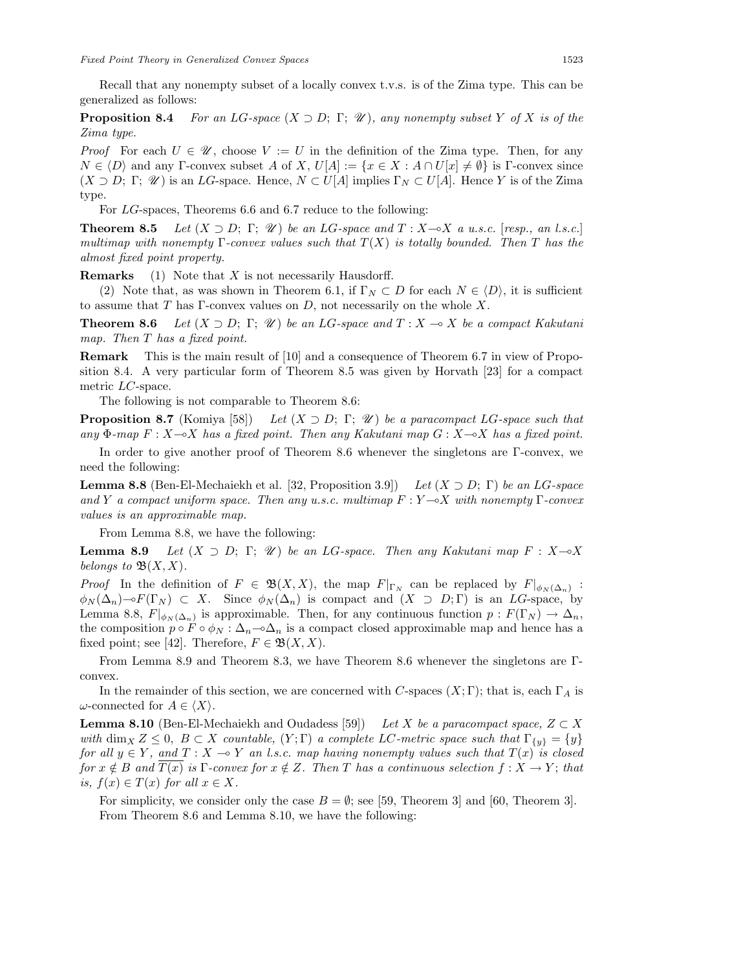Recall that any nonempty subset of a locally convex t.v.s. is of the Zima type. This can be generalized as follows:

**Proposition 8.4** *For an LG-space*  $(X \supset D; \Gamma; \mathcal{U})$ *, any nonempty subset* Y *of* X *is of the Zima type.*

*Proof* For each  $U \in \mathscr{U}$ , choose  $V := U$  in the definition of the Zima type. Then, for any  $N \in \langle D \rangle$  and any Γ-convex subset A of X,  $U[A] := \{x \in X : A \cap U[x] \neq \emptyset\}$  is Γ-convex since  $(X \supset D; \Gamma; \mathscr{U})$  is an LG-space. Hence,  $N \subset U[A]$  implies  $\Gamma_N \subset U[A]$ . Hence Y is of the Zima type.

For LG-spaces, Theorems 6.6 and 6.7 reduce to the following:

**Theorem 8.5** *Let*  $(X \supset D; \Gamma; \mathcal{U})$  *be an LG-space and*  $T : X \rightarrow X$  *a u.s.c.* [*resp., an l.s.c.*] *multimap with nonempty* Γ*-convex values such that* T(X) *is totally bounded. Then* T *has the almost fixed point property.*

**Remarks** (1) Note that X is not necessarily Hausdorff.

(2) Note that, as was shown in Theorem 6.1, if  $\Gamma_N \subset D$  for each  $N \in \langle D \rangle$ , it is sufficient to assume that T has  $\Gamma$ -convex values on D, not necessarily on the whole X.

**Theorem 8.6** *Let*  $(X \supset D; \Gamma; \mathcal{U})$  *be an LG-space and*  $T: X \rightarrow X$  *be a compact Kakutani map. Then* T *has a fixed point.*

**Remark** This is the main result of [10] and a consequence of Theorem 6.7 in view of Proposition 8.4. A very particular form of Theorem 8.5 was given by Horvath [23] for a compact metric LC-space.

The following is not comparable to Theorem 8.6:

**Proposition 8.7** (Komiya [58]) *Let*  $(X \supset D; \Gamma; \mathcal{U})$  *be a paracompact* LG-space such that  $any \Phi$ *-map*  $F: X \rightarrow X$  has a fixed point. Then any Kakutani map  $G: X \rightarrow X$  has a fixed point.

In order to give another proof of Theorem 8.6 whenever the singletons are Γ-convex, we need the following:

**Lemma 8.8** (Ben-El-Mechaiekh et al. [32, Proposition 3.9]) *Let* (X ⊃ D; Γ) *be an* LG*-space and Y a compact uniform space. Then any u.s.c. multimap F* : *Y* −ο*X with nonempty* Γ*-convex values is an approximable map.*

From Lemma 8.8, we have the following:

**Lemma 8.9** *Let*  $(X \supset D; \Gamma; \mathcal{U})$  *be an LG-space. Then any Kakutani map*  $F: X \rightarrow X$ *belongs to*  $\mathfrak{B}(X,X)$ *.* 

*Proof* In the definition of  $F \in \mathfrak{B}(X,X)$ , the map  $F|_{\Gamma_N}$  can be replaced by  $F|_{\phi_N(\Delta_n)}$ :  $\phi_N(\Delta_n) \to F(\Gamma_N) \subset X$ . Since  $\phi_N(\Delta_n)$  is compact and  $(X \supset D; \Gamma)$  is an LG-space, by Lemma 8.8,  $F|_{\phi_N(\Delta_n)}$  is approximable. Then, for any continuous function  $p: F(\Gamma_N) \to \Delta_n$ , the composition  $p \circ F \circ \phi_N : \Delta_n \to \Delta_n$  is a compact closed approximable map and hence has a fixed point; see [42]. Therefore,  $F \in \mathfrak{B}(X,X)$ .

From Lemma 8.9 and Theorem 8.3, we have Theorem 8.6 whenever the singletons are Γconvex.

In the remainder of this section, we are concerned with C-spaces  $(X; \Gamma)$ ; that is, each  $\Gamma_A$  is  $\omega$ -connected for  $A \in \langle X \rangle$ .

**Lemma 8.10** (Ben-El-Mechaiekh and Oudadess [59]) *Let* X *be a paracompact space,*  $Z \subset X$ *with* dim<sub>X</sub>  $Z \leq 0$ ,  $B \subset X$  *countable,*  $(Y; \Gamma)$  *a complete* LC-metric space such that  $\Gamma_{\{y\}} = \{y\}$ *for all*  $y \in Y$ , <u>and</u>  $T : X \multimap Y$  an l.s.c. map having nonempty values such that  $T(x)$  is closed *for*  $x \notin B$  *and*  $T(x)$  *is*  $\Gamma$ *-convex for*  $x \notin Z$ *. Then* T *has a continuous selection*  $f : X \to Y$ ; *that is,*  $f(x) \in T(x)$  *for all*  $x \in X$ *.* 

For simplicity, we consider only the case  $B = \emptyset$ ; see [59, Theorem 3] and [60, Theorem 3]. From Theorem 8.6 and Lemma 8.10, we have the following: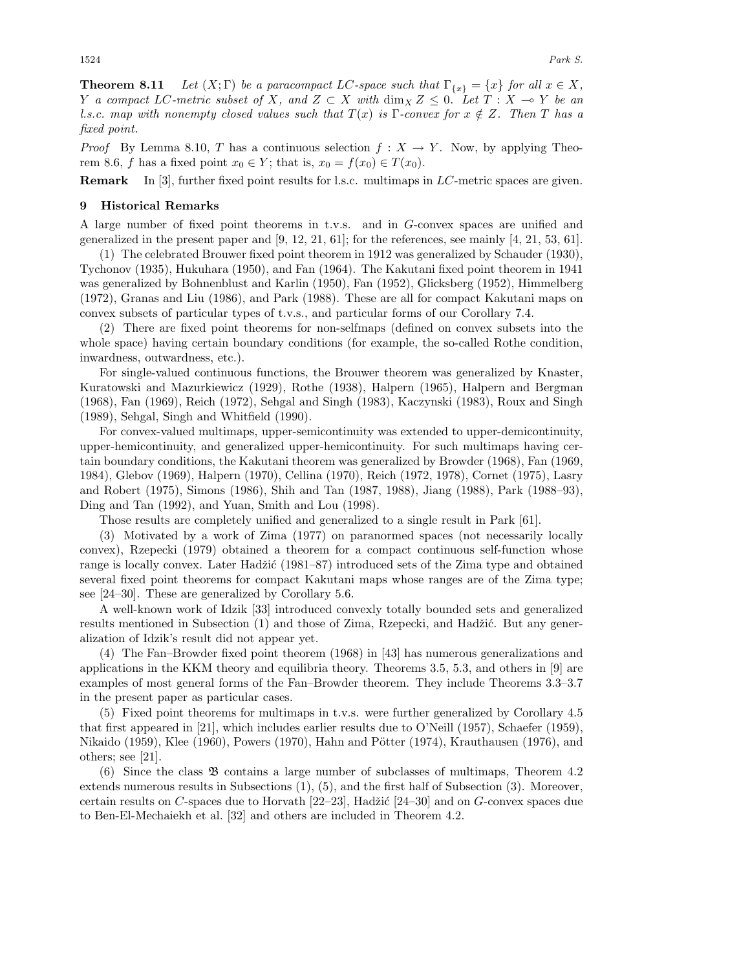**Theorem 8.11** *Let*  $(X; \Gamma)$  *be a paracompact LC*-space such that  $\Gamma_{\{x\}} = \{x\}$  *for all*  $x \in X$ *, Y a* compact LC-metric subset of X, and  $Z \subset X$  with  $\dim_X Z \leq 0$ . Let  $T : X → Y$  be an *l.s.c. map with nonempty closed values such that*  $T(x)$  *is* Γ*-convex for*  $x \notin Z$ *. Then* T *has a fixed point.*

*Proof* By Lemma 8.10, T has a continuous selection  $f : X \to Y$ . Now, by applying Theorem 8.6, f has a fixed point  $x_0 \in Y$ ; that is,  $x_0 = f(x_0) \in T(x_0)$ .

**Remark** In [3], further fixed point results for l.s.c. multimaps in LC-metric spaces are given.

#### **9 Historical Remarks**

A large number of fixed point theorems in t.v.s. and in G-convex spaces are unified and generalized in the present paper and [9, 12, 21, 61]; for the references, see mainly [4, 21, 53, 61].

(1) The celebrated Brouwer fixed point theorem in 1912 was generalized by Schauder (1930), Tychonov (1935), Hukuhara (1950), and Fan (1964). The Kakutani fixed point theorem in 1941 was generalized by Bohnenblust and Karlin (1950), Fan (1952), Glicksberg (1952), Himmelberg (1972), Granas and Liu (1986), and Park (1988). These are all for compact Kakutani maps on convex subsets of particular types of t.v.s., and particular forms of our Corollary 7.4.

(2) There are fixed point theorems for non-selfmaps (defined on convex subsets into the whole space) having certain boundary conditions (for example, the so-called Rothe condition, inwardness, outwardness, etc.).

For single-valued continuous functions, the Brouwer theorem was generalized by Knaster, Kuratowski and Mazurkiewicz (1929), Rothe (1938), Halpern (1965), Halpern and Bergman (1968), Fan (1969), Reich (1972), Sehgal and Singh (1983), Kaczynski (1983), Roux and Singh (1989), Sehgal, Singh and Whitfield (1990).

For convex-valued multimaps, upper-semicontinuity was extended to upper-demicontinuity, upper-hemicontinuity, and generalized upper-hemicontinuity. For such multimaps having certain boundary conditions, the Kakutani theorem was generalized by Browder (1968), Fan (1969, 1984), Glebov (1969), Halpern (1970), Cellina (1970), Reich (1972, 1978), Cornet (1975), Lasry and Robert (1975), Simons (1986), Shih and Tan (1987, 1988), Jiang (1988), Park (1988–93), Ding and Tan (1992), and Yuan, Smith and Lou (1998).

Those results are completely unified and generalized to a single result in Park [61].

(3) Motivated by a work of Zima (1977) on paranormed spaces (not necessarily locally convex), Rzepecki (1979) obtained a theorem for a compact continuous self-function whose range is locally convex. Later Hadžić (1981–87) introduced sets of the Zima type and obtained several fixed point theorems for compact Kakutani maps whose ranges are of the Zima type; see [24–30]. These are generalized by Corollary 5.6.

A well-known work of Idzik [33] introduced convexly totally bounded sets and generalized results mentioned in Subsection (1) and those of Zima, Rzepecki, and Hadžić. But any generalization of Idzik's result did not appear yet.

(4) The Fan–Browder fixed point theorem (1968) in [43] has numerous generalizations and applications in the KKM theory and equilibria theory. Theorems 3.5, 5.3, and others in [9] are examples of most general forms of the Fan–Browder theorem. They include Theorems 3.3–3.7 in the present paper as particular cases.

(5) Fixed point theorems for multimaps in t.v.s. were further generalized by Corollary 4.5 that first appeared in [21], which includes earlier results due to O'Neill (1957), Schaefer (1959), Nikaido (1959), Klee (1960), Powers (1970), Hahn and Pötter (1974), Krauthausen (1976), and others; see [21].

(6) Since the class B contains a large number of subclasses of multimaps, Theorem 4.2 extends numerous results in Subsections (1), (5), and the first half of Subsection (3). Moreover, certain results on C-spaces due to Horvath  $[22-23]$ , Hadžić  $[24-30]$  and on G-convex spaces due to Ben-El-Mechaiekh et al. [32] and others are included in Theorem 4.2.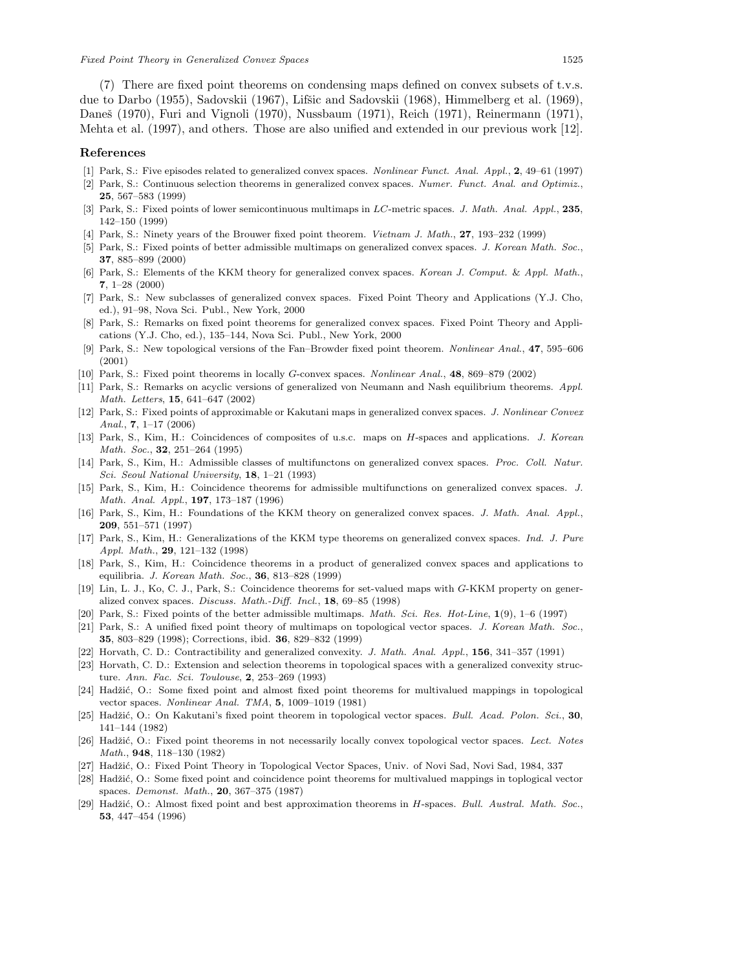(7) There are fixed point theorems on condensing maps defined on convex subsets of t.v.s. due to Darbo (1955), Sadovskii (1967), Lifšic and Sadovskii (1968), Himmelberg et al. (1969), Daneš (1970), Furi and Vignoli (1970), Nussbaum (1971), Reich (1971), Reinermann (1971), Mehta et al. (1997), and others. Those are also unified and extended in our previous work [12].

#### **References**

- [1] Park, S.: Five episodes related to generalized convex spaces. Nonlinear Funct. Anal. Appl., **2**, 49–61 (1997)
- [2] Park, S.: Continuous selection theorems in generalized convex spaces. Numer. Funct. Anal. and Optimiz., **25**, 567–583 (1999)
- [3] Park, S.: Fixed points of lower semicontinuous multimaps in *LC*-metric spaces. J. Math. Anal. Appl., **235**, 142–150 (1999)
- [4] Park, S.: Ninety years of the Brouwer fixed point theorem. Vietnam J. Math., **27**, 193–232 (1999)
- [5] Park, S.: Fixed points of better admissible multimaps on generalized convex spaces. J. Korean Math. Soc., **37**, 885–899 (2000)
- [6] Park, S.: Elements of the KKM theory for generalized convex spaces. Korean J. Comput. & Appl. Math., **7**, 1–28 (2000)
- [7] Park, S.: New subclasses of generalized convex spaces. Fixed Point Theory and Applications (Y.J. Cho, ed.), 91–98, Nova Sci. Publ., New York, 2000
- [8] Park, S.: Remarks on fixed point theorems for generalized convex spaces. Fixed Point Theory and Applications (Y.J. Cho, ed.), 135–144, Nova Sci. Publ., New York, 2000
- [9] Park, S.: New topological versions of the Fan–Browder fixed point theorem. Nonlinear Anal., **47**, 595–606 (2001)
- [10] Park, S.: Fixed point theorems in locally *G*-convex spaces. Nonlinear Anal., **48**, 869–879 (2002)
- [11] Park, S.: Remarks on acyclic versions of generalized von Neumann and Nash equilibrium theorems. Appl. Math. Letters, **15**, 641–647 (2002)
- [12] Park, S.: Fixed points of approximable or Kakutani maps in generalized convex spaces. J. Nonlinear Convex Anal., **7**, 1–17 (2006)
- [13] Park, S., Kim, H.: Coincidences of composites of u.s.c. maps on *H*-spaces and applications. J. Korean Math. Soc., **32**, 251–264 (1995)
- [14] Park, S., Kim, H.: Admissible classes of multifunctons on generalized convex spaces. Proc. Coll. Natur. Sci. Seoul National University, **18**, 1–21 (1993)
- [15] Park, S., Kim, H.: Coincidence theorems for admissible multifunctions on generalized convex spaces. J. Math. Anal. Appl., **197**, 173–187 (1996)
- [16] Park, S., Kim, H.: Foundations of the KKM theory on generalized convex spaces. J. Math. Anal. Appl., **209**, 551–571 (1997)
- [17] Park, S., Kim, H.: Generalizations of the KKM type theorems on generalized convex spaces. Ind. J. Pure Appl. Math., **29**, 121–132 (1998)
- [18] Park, S., Kim, H.: Coincidence theorems in a product of generalized convex spaces and applications to equilibria. J. Korean Math. Soc., **36**, 813–828 (1999)
- [19] Lin, L. J., Ko, C. J., Park, S.: Coincidence theorems for set-valued maps with *G*-KKM property on generalized convex spaces. Discuss. Math.-Diff. Incl., **18**, 69–85 (1998)
- [20] Park, S.: Fixed points of the better admissible multimaps. Math. Sci. Res. Hot-Line, **1**(9), 1–6 (1997)
- [21] Park, S.: A unified fixed point theory of multimaps on topological vector spaces. J. Korean Math. Soc., **35**, 803–829 (1998); Corrections, ibid. **36**, 829–832 (1999)
- [22] Horvath, C. D.: Contractibility and generalized convexity. J. Math. Anal. Appl., **156**, 341–357 (1991)
- [23] Horvath, C. D.: Extension and selection theorems in topological spaces with a generalized convexity structure. Ann. Fac. Sci. Toulouse, **2**, 253–269 (1993)
- [24] Hadžić, O.: Some fixed point and almost fixed point theorems for multivalued mappings in topological vector spaces. Nonlinear Anal. TMA, **5**, 1009–1019 (1981)
- [25] Hadžić, O.: On Kakutani's fixed point theorem in topological vector spaces. Bull. Acad. Polon. Sci., 30, 141–144 (1982)
- [26] Hadžić, O.: Fixed point theorems in not necessarily locally convex topological vector spaces. Lect. Notes Math., **948**, 118–130 (1982)
- [27] Hadžić, O.: Fixed Point Theory in Topological Vector Spaces, Univ. of Novi Sad, Novi Sad, 1984, 337
- [28] Hadžić, O.: Some fixed point and coincidence point theorems for multivalued mappings in toplogical vector spaces. Demonst. Math., **20**, 367–375 (1987)
- [29] Hadžić, O.: Almost fixed point and best approximation theorems in *H*-spaces. Bull. Austral. Math. Soc., **53**, 447–454 (1996)